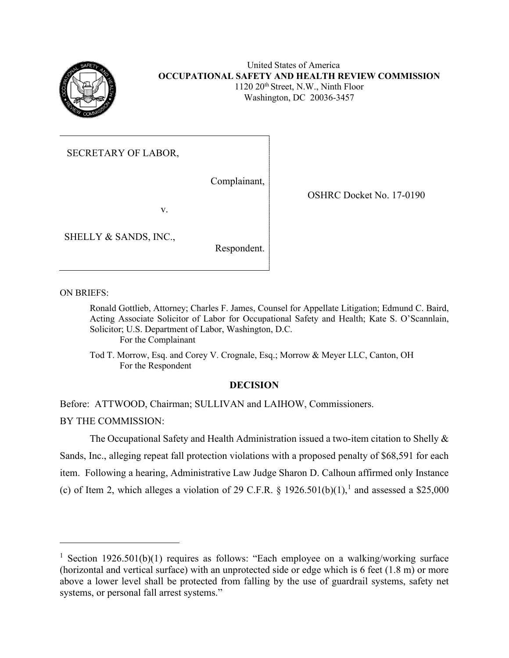

## United States of America **OCCUPATIONAL SAFETY AND HEALTH REVIEW COMMISSION** 1120 20th Street, N.W., Ninth Floor Washington, DC 20036-3457

SECRETARY OF LABOR,

Complainant,

v.

SHELLY & SANDS, INC.,

Respondent.

OSHRC Docket No. 17-0190

ON BRIEFS:

Ronald Gottlieb, Attorney; Charles F. James, Counsel for Appellate Litigation; Edmund C. Baird, Acting Associate Solicitor of Labor for Occupational Safety and Health; Kate S. O'Scannlain, Solicitor; U.S. Department of Labor, Washington, D.C. For the Complainant

Tod T. Morrow, Esq. and Corey V. Crognale, Esq.; Morrow & Meyer LLC, Canton, OH For the Respondent

# **DECISION**

Before: ATTWOOD, Chairman; SULLIVAN and LAIHOW, Commissioners.

BY THE COMMISSION:

The Occupational Safety and Health Administration issued a two-item citation to Shelly & Sands, Inc., alleging repeat fall protection violations with a proposed penalty of \$68,591 for each item. Following a hearing, Administrative Law Judge Sharon D. Calhoun affirmed only Instance (c) of Item 2, which alleges a violation of 29 C.F.R. § [1](#page-0-0)926.501(b)(1),<sup>1</sup> and assessed a \$25,000

<span id="page-0-0"></span><sup>&</sup>lt;sup>1</sup> Section 1926.501(b)(1) requires as follows: "Each employee on a walking/working surface (horizontal and vertical surface) with an unprotected side or edge which is 6 feet (1.8 m) or more above a lower level shall be protected from falling by the use of guardrail systems, safety net systems, or personal fall arrest systems."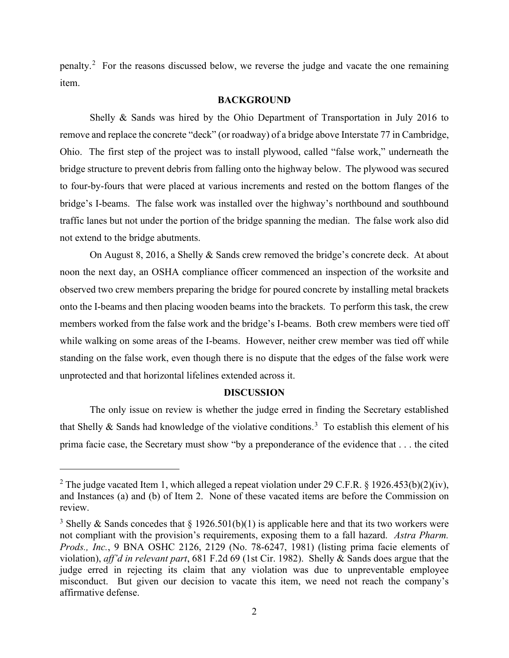penalty.<sup>[2](#page-1-0)</sup> For the reasons discussed below, we reverse the judge and vacate the one remaining item.

## **BACKGROUND**

Shelly & Sands was hired by the Ohio Department of Transportation in July 2016 to remove and replace the concrete "deck" (or roadway) of a bridge above Interstate 77 in Cambridge, Ohio. The first step of the project was to install plywood, called "false work," underneath the bridge structure to prevent debris from falling onto the highway below. The plywood was secured to four-by-fours that were placed at various increments and rested on the bottom flanges of the bridge's I-beams. The false work was installed over the highway's northbound and southbound traffic lanes but not under the portion of the bridge spanning the median. The false work also did not extend to the bridge abutments.

On August 8, 2016, a Shelly & Sands crew removed the bridge's concrete deck. At about noon the next day, an OSHA compliance officer commenced an inspection of the worksite and observed two crew members preparing the bridge for poured concrete by installing metal brackets onto the I-beams and then placing wooden beams into the brackets. To perform this task, the crew members worked from the false work and the bridge's I-beams. Both crew members were tied off while walking on some areas of the I-beams. However, neither crew member was tied off while standing on the false work, even though there is no dispute that the edges of the false work were unprotected and that horizontal lifelines extended across it.

#### **DISCUSSION**

The only issue on review is whether the judge erred in finding the Secretary established that Shelly & Sands had knowledge of the violative conditions.<sup>[3](#page-1-1)</sup> To establish this element of his prima facie case, the Secretary must show "by a preponderance of the evidence that . . . the cited

<span id="page-1-0"></span><sup>&</sup>lt;sup>2</sup> The judge vacated Item 1, which alleged a repeat violation under 29 C.F.R. § 1926.453(b)(2)(iv), and Instances (a) and (b) of Item 2. None of these vacated items are before the Commission on review.

<span id="page-1-1"></span><sup>&</sup>lt;sup>3</sup> Shelly & Sands concedes that  $\S 1926.501(b)(1)$  is applicable here and that its two workers were not compliant with the provision's requirements, exposing them to a fall hazard. *Astra Pharm. Prods., Inc.*, 9 BNA OSHC 2126, 2129 (No. 78-6247, 1981) (listing prima facie elements of violation), *aff'd in relevant part*, 681 F.2d 69 (1st Cir. 1982). Shelly & Sands does argue that the judge erred in rejecting its claim that any violation was due to unpreventable employee misconduct. But given our decision to vacate this item, we need not reach the company's affirmative defense.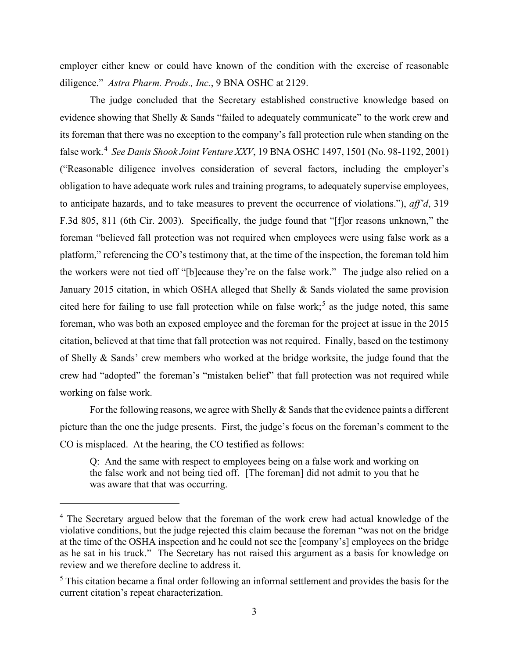employer either knew or could have known of the condition with the exercise of reasonable diligence." *Astra Pharm. Prods., Inc.*, 9 BNA OSHC at 2129.

The judge concluded that the Secretary established constructive knowledge based on evidence showing that Shelly & Sands "failed to adequately communicate" to the work crew and its foreman that there was no exception to the company's fall protection rule when standing on the false work.[4](#page-2-0) *See Danis Shook Joint Venture XXV*, 19 BNA OSHC 1497, 1501 (No. 98-1192, 2001) ("Reasonable diligence involves consideration of several factors, including the employer's obligation to have adequate work rules and training programs, to adequately supervise employees, to anticipate hazards, and to take measures to prevent the occurrence of violations."), *aff'd*, 319 F.3d 805, 811 (6th Cir. 2003). Specifically, the judge found that "[f]or reasons unknown," the foreman "believed fall protection was not required when employees were using false work as a platform," referencing the CO's testimony that, at the time of the inspection, the foreman told him the workers were not tied off "[b]ecause they're on the false work." The judge also relied on a January 2015 citation, in which OSHA alleged that Shelly & Sands violated the same provision cited here for failing to use fall protection while on false work;<sup>[5](#page-2-1)</sup> as the judge noted, this same foreman, who was both an exposed employee and the foreman for the project at issue in the 2015 citation, believed at that time that fall protection was not required. Finally, based on the testimony of Shelly & Sands' crew members who worked at the bridge worksite, the judge found that the crew had "adopted" the foreman's "mistaken belief" that fall protection was not required while working on false work.

For the following reasons, we agree with Shelly & Sands that the evidence paints a different picture than the one the judge presents. First, the judge's focus on the foreman's comment to the CO is misplaced. At the hearing, the CO testified as follows:

Q: And the same with respect to employees being on a false work and working on the false work and not being tied off. [The foreman] did not admit to you that he was aware that that was occurring.

<span id="page-2-0"></span><sup>&</sup>lt;sup>4</sup> The Secretary argued below that the foreman of the work crew had actual knowledge of the violative conditions, but the judge rejected this claim because the foreman "was not on the bridge at the time of the OSHA inspection and he could not see the [company's] employees on the bridge as he sat in his truck." The Secretary has not raised this argument as a basis for knowledge on review and we therefore decline to address it.

<span id="page-2-1"></span><sup>&</sup>lt;sup>5</sup> This citation became a final order following an informal settlement and provides the basis for the current citation's repeat characterization.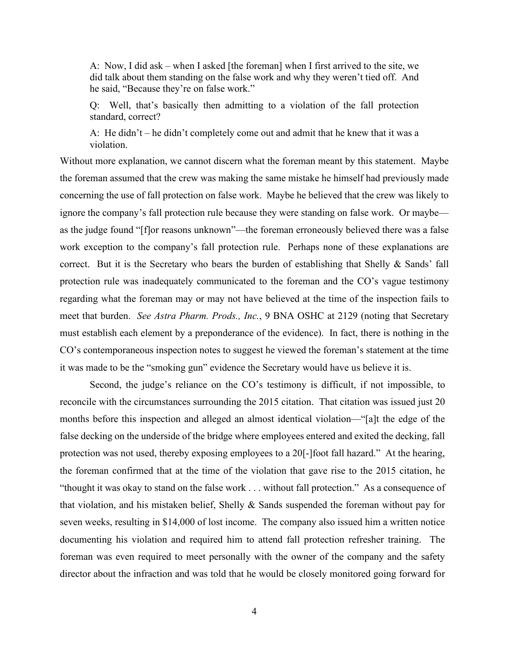A: Now, I did ask – when I asked [the foreman] when I first arrived to the site, we did talk about them standing on the false work and why they weren't tied off. And he said, "Because they're on false work."

Q: Well, that's basically then admitting to a violation of the fall protection standard, correct?

A: He didn't – he didn't completely come out and admit that he knew that it was a violation.

Without more explanation, we cannot discern what the foreman meant by this statement. Maybe the foreman assumed that the crew was making the same mistake he himself had previously made concerning the use of fall protection on false work. Maybe he believed that the crew was likely to ignore the company's fall protection rule because they were standing on false work. Or maybe as the judge found "[f]or reasons unknown"—the foreman erroneously believed there was a false work exception to the company's fall protection rule. Perhaps none of these explanations are correct. But it is the Secretary who bears the burden of establishing that Shelly & Sands' fall protection rule was inadequately communicated to the foreman and the CO's vague testimony regarding what the foreman may or may not have believed at the time of the inspection fails to meet that burden. *See Astra Pharm. Prods., Inc.*, 9 BNA OSHC at 2129 (noting that Secretary must establish each element by a preponderance of the evidence). In fact, there is nothing in the CO's contemporaneous inspection notes to suggest he viewed the foreman's statement at the time it was made to be the "smoking gun" evidence the Secretary would have us believe it is.

Second, the judge's reliance on the CO's testimony is difficult, if not impossible, to reconcile with the circumstances surrounding the 2015 citation. That citation was issued just 20 months before this inspection and alleged an almost identical violation—"[a]t the edge of the false decking on the underside of the bridge where employees entered and exited the decking, fall protection was not used, thereby exposing employees to a 20[-]foot fall hazard." At the hearing, the foreman confirmed that at the time of the violation that gave rise to the 2015 citation, he "thought it was okay to stand on the false work . . . without fall protection." As a consequence of that violation, and his mistaken belief, Shelly & Sands suspended the foreman without pay for seven weeks, resulting in \$14,000 of lost income. The company also issued him a written notice documenting his violation and required him to attend fall protection refresher training. The foreman was even required to meet personally with the owner of the company and the safety director about the infraction and was told that he would be closely monitored going forward for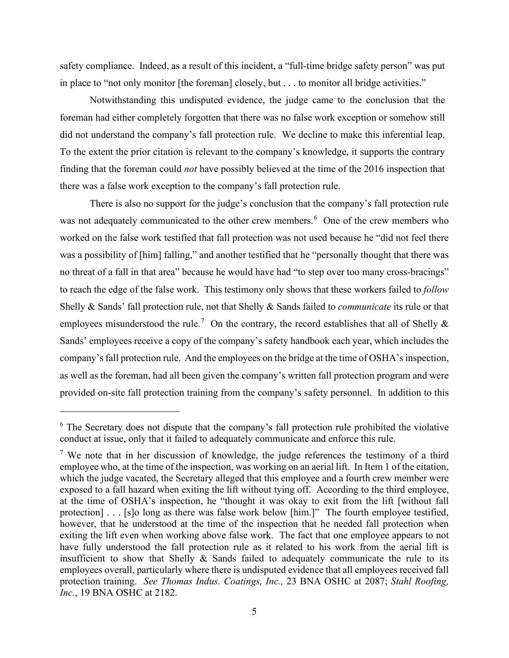safety compliance. Indeed, as a result of this incident, a "full-time bridge safety person" was put in place to "not only monitor [the foreman] closely, but . . . to monitor all bridge activities."

Notwithstanding this undisputed evidence, the judge came to the conclusion that the foreman had either completely forgotten that there was no false work exception or somehow still did not understand the company's fall protection rule. We decline to make this inferential leap. To the extent the prior citation is relevant to the company's knowledge, it supports the contrary finding that the foreman could *not* have possibly believed at the time of the 2016 inspection that there was a false work exception to the company's fall protection rule.

There is also no support for the judge's conclusion that the company's fall protection rule was not adequately communicated to the other crew members.<sup>[6](#page-4-0)</sup> One of the crew members who worked on the false work testified that fall protection was not used because he "did not feel there was a possibility of [him] falling," and another testified that he "personally thought that there was no threat of a fall in that area" because he would have had "to step over too many cross-bracings" to reach the edge of the false work. This testimony only shows that these workers failed to *follow* Shelly & Sands' fall protection rule, not that Shelly & Sands failed to *communicate* its rule or that employees misunderstood the rule.<sup>[7](#page-4-1)</sup> On the contrary, the record establishes that all of Shelly  $\&$ Sands' employees receive a copy of the company's safety handbook each year, which includes the company's fall protection rule. And the employees on the bridge at the time of OSHA's inspection, as well as the foreman, had all been given the company's written fall protection program and were provided on-site fall protection training from the company's safety personnel. In addition to this

<span id="page-4-0"></span><sup>&</sup>lt;sup>6</sup> The Secretary does not dispute that the company's fall protection rule prohibited the violative conduct at issue, only that it failed to adequately communicate and enforce this rule.

<span id="page-4-1"></span><sup>&</sup>lt;sup>7</sup> We note that in her discussion of knowledge, the judge references the testimony of a third employee who, at the time of the inspection, was working on an aerial lift. In Item 1 of the citation, which the judge vacated, the Secretary alleged that this employee and a fourth crew member were exposed to a fall hazard when exiting the lift without tying off. According to the third employee, at the time of OSHA's inspection, he "thought it was okay to exit from the lift [without fall protection] . . . [s]o long as there was false work below [him.]" The fourth employee testified, however, that he understood at the time of the inspection that he needed fall protection when exiting the lift even when working above false work. The fact that one employee appears to not have fully understood the fall protection rule as it related to his work from the aerial lift is insufficient to show that Shelly & Sands failed to adequately communicate the rule to its employees overall, particularly where there is undisputed evidence that all employees received fall protection training. *See Thomas Indus. Coatings, Inc.,* 23 BNA OSHC at 2087; *Stahl Roofing, Inc.*, 19 BNA OSHC at 2182.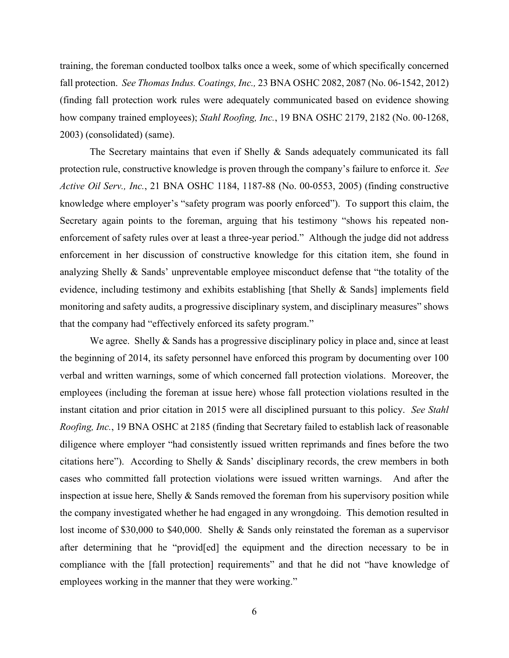training, the foreman conducted toolbox talks once a week, some of which specifically concerned fall protection. *See Thomas Indus. Coatings, Inc.,* 23 BNA OSHC 2082, 2087 (No. 06-1542, 2012) (finding fall protection work rules were adequately communicated based on evidence showing how company trained employees); *Stahl Roofing, Inc.*, 19 BNA OSHC 2179, 2182 (No. 00-1268, 2003) (consolidated) (same).

The Secretary maintains that even if Shelly & Sands adequately communicated its fall protection rule, constructive knowledge is proven through the company's failure to enforce it. *See Active Oil Serv., Inc.*, 21 BNA OSHC 1184, 1187-88 (No. 00-0553, 2005) (finding constructive knowledge where employer's "safety program was poorly enforced"). To support this claim, the Secretary again points to the foreman, arguing that his testimony "shows his repeated nonenforcement of safety rules over at least a three-year period." Although the judge did not address enforcement in her discussion of constructive knowledge for this citation item, she found in analyzing Shelly & Sands' unpreventable employee misconduct defense that "the totality of the evidence, including testimony and exhibits establishing [that Shelly & Sands] implements field monitoring and safety audits, a progressive disciplinary system, and disciplinary measures" shows that the company had "effectively enforced its safety program."

We agree. Shelly & Sands has a progressive disciplinary policy in place and, since at least the beginning of 2014, its safety personnel have enforced this program by documenting over 100 verbal and written warnings, some of which concerned fall protection violations. Moreover, the employees (including the foreman at issue here) whose fall protection violations resulted in the instant citation and prior citation in 2015 were all disciplined pursuant to this policy. *See Stahl Roofing, Inc.*, 19 BNA OSHC at 2185 (finding that Secretary failed to establish lack of reasonable diligence where employer "had consistently issued written reprimands and fines before the two citations here"). According to Shelly & Sands' disciplinary records, the crew members in both cases who committed fall protection violations were issued written warnings. And after the inspection at issue here, Shelly  $&$  Sands removed the foreman from his supervisory position while the company investigated whether he had engaged in any wrongdoing. This demotion resulted in lost income of \$30,000 to \$40,000. Shelly & Sands only reinstated the foreman as a supervisor after determining that he "provid[ed] the equipment and the direction necessary to be in compliance with the [fall protection] requirements" and that he did not "have knowledge of employees working in the manner that they were working."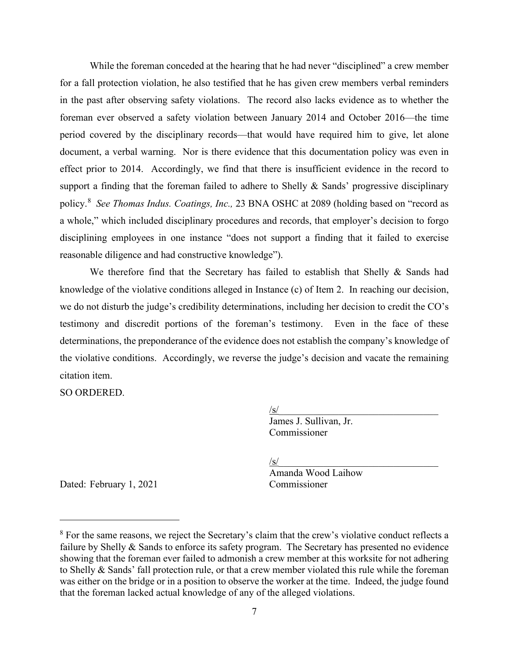While the foreman conceded at the hearing that he had never "disciplined" a crew member for a fall protection violation, he also testified that he has given crew members verbal reminders in the past after observing safety violations. The record also lacks evidence as to whether the foreman ever observed a safety violation between January 2014 and October 2016—the time period covered by the disciplinary records—that would have required him to give, let alone document, a verbal warning. Nor is there evidence that this documentation policy was even in effect prior to 2014. Accordingly, we find that there is insufficient evidence in the record to support a finding that the foreman failed to adhere to Shelly & Sands' progressive disciplinary policy.[8](#page-6-0) *See Thomas Indus. Coatings, Inc.,* 23 BNA OSHC at 2089 (holding based on "record as a whole," which included disciplinary procedures and records, that employer's decision to forgo disciplining employees in one instance "does not support a finding that it failed to exercise reasonable diligence and had constructive knowledge").

We therefore find that the Secretary has failed to establish that Shelly & Sands had knowledge of the violative conditions alleged in Instance (c) of Item 2. In reaching our decision, we do not disturb the judge's credibility determinations, including her decision to credit the CO's testimony and discredit portions of the foreman's testimony. Even in the face of these determinations, the preponderance of the evidence does not establish the company's knowledge of the violative conditions. Accordingly, we reverse the judge's decision and vacate the remaining citation item.

SO ORDERED.

 $\sqrt{\text{s}}$ / James J. Sullivan, Jr. Commissioner

 $\sqrt{s}$ /s/ $\sqrt{s}$ / $\sqrt{s}$ / $\sqrt{s}$ / $\sqrt{s}$ / $\sqrt{s}$ / $\sqrt{s}$ / $\sqrt{s}$ / $\sqrt{s}$ / $\sqrt{s}$ / $\sqrt{s}$ / $\sqrt{s}$ / $\sqrt{s}$ / $\sqrt{s}$ / $\sqrt{s}$ / $\sqrt{s}$ / $\sqrt{s}$ / $\sqrt{s}$ / $\sqrt{s}$ / $\sqrt{s}$ / $\sqrt{s}$ / $\sqrt{s}$ / $\sqrt{s}$ / $\sqrt{s}$ / $\sqrt{s}$ / $\sqrt{s}$ / $\sqrt{s}$ / $\sqrt{s}$ / $\sqrt{s}$ / $\sqrt{s}$ / $\sqrt{s}$ / $\$ Amanda Wood Laihow

Dated: February 1, 2021 Commissioner

<span id="page-6-0"></span><sup>8</sup> For the same reasons, we reject the Secretary's claim that the crew's violative conduct reflects a failure by Shelly & Sands to enforce its safety program. The Secretary has presented no evidence showing that the foreman ever failed to admonish a crew member at this worksite for not adhering to Shelly & Sands' fall protection rule, or that a crew member violated this rule while the foreman was either on the bridge or in a position to observe the worker at the time. Indeed, the judge found that the foreman lacked actual knowledge of any of the alleged violations.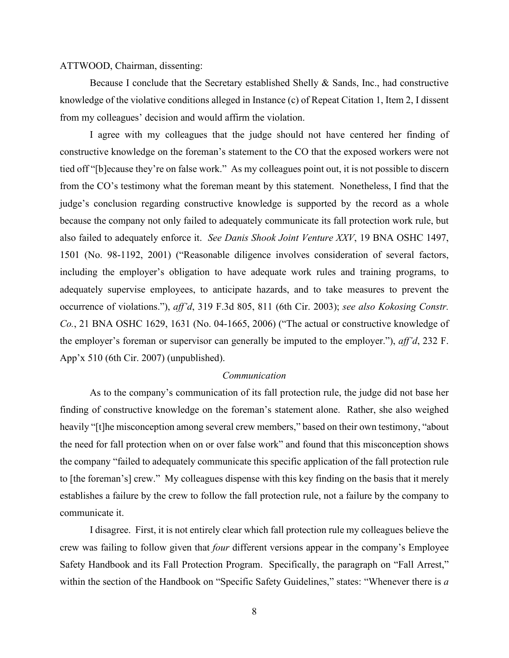ATTWOOD, Chairman, dissenting:

Because I conclude that the Secretary established Shelly & Sands, Inc., had constructive knowledge of the violative conditions alleged in Instance (c) of Repeat Citation 1, Item 2, I dissent from my colleagues' decision and would affirm the violation.

I agree with my colleagues that the judge should not have centered her finding of constructive knowledge on the foreman's statement to the CO that the exposed workers were not tied off "[b]ecause they're on false work." As my colleagues point out, it is not possible to discern from the CO's testimony what the foreman meant by this statement. Nonetheless, I find that the judge's conclusion regarding constructive knowledge is supported by the record as a whole because the company not only failed to adequately communicate its fall protection work rule, but also failed to adequately enforce it. *See Danis Shook Joint Venture XXV*, 19 BNA OSHC 1497, 1501 (No. 98-1192, 2001) ("Reasonable diligence involves consideration of several factors, including the employer's obligation to have adequate work rules and training programs, to adequately supervise employees, to anticipate hazards, and to take measures to prevent the occurrence of violations."), *aff'd*, 319 F.3d 805, 811 (6th Cir. 2003); *see also Kokosing Constr. Co.*, 21 BNA OSHC 1629, 1631 (No. 04-1665, 2006) ("The actual or constructive knowledge of the employer's foreman or supervisor can generally be imputed to the employer."), *aff'd*, 232 F. App'x 510 (6th Cir. 2007) (unpublished).

### *Communication*

As to the company's communication of its fall protection rule, the judge did not base her finding of constructive knowledge on the foreman's statement alone. Rather, she also weighed heavily "[t]he misconception among several crew members," based on their own testimony, "about the need for fall protection when on or over false work" and found that this misconception shows the company "failed to adequately communicate this specific application of the fall protection rule to [the foreman's] crew." My colleagues dispense with this key finding on the basis that it merely establishes a failure by the crew to follow the fall protection rule, not a failure by the company to communicate it.

I disagree. First, it is not entirely clear which fall protection rule my colleagues believe the crew was failing to follow given that *four* different versions appear in the company's Employee Safety Handbook and its Fall Protection Program. Specifically, the paragraph on "Fall Arrest," within the section of the Handbook on "Specific Safety Guidelines," states: "Whenever there is *a*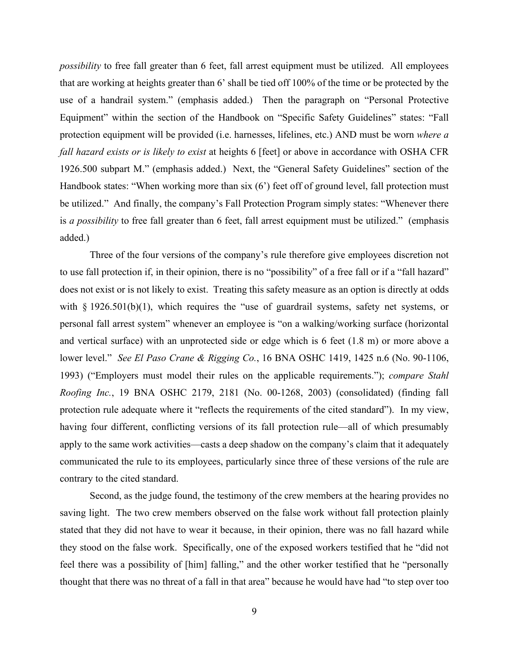*possibility* to free fall greater than 6 feet, fall arrest equipment must be utilized. All employees that are working at heights greater than 6' shall be tied off 100% of the time or be protected by the use of a handrail system." (emphasis added.) Then the paragraph on "Personal Protective Equipment" within the section of the Handbook on "Specific Safety Guidelines" states: "Fall protection equipment will be provided (i.e. harnesses, lifelines, etc.) AND must be worn *where a fall hazard exists or is likely to exist* at heights 6 [feet] or above in accordance with OSHA CFR 1926.500 subpart M." (emphasis added.) Next, the "General Safety Guidelines" section of the Handbook states: "When working more than six (6') feet off of ground level, fall protection must be utilized." And finally, the company's Fall Protection Program simply states: "Whenever there is *a possibility* to free fall greater than 6 feet, fall arrest equipment must be utilized." (emphasis added.)

Three of the four versions of the company's rule therefore give employees discretion not to use fall protection if, in their opinion, there is no "possibility" of a free fall or if a "fall hazard" does not exist or is not likely to exist. Treating this safety measure as an option is directly at odds with  $\S$  1926.501(b)(1), which requires the "use of guardrail systems, safety net systems, or personal fall arrest system" whenever an employee is "on a walking/working surface (horizontal and vertical surface) with an unprotected side or edge which is 6 feet (1.8 m) or more above a lower level." *See El Paso Crane & Rigging Co.*, 16 BNA OSHC 1419, 1425 n.6 (No. 90-1106, 1993) ("Employers must model their rules on the applicable requirements."); *compare Stahl Roofing Inc.*, 19 BNA OSHC 2179, 2181 (No. 00-1268, 2003) (consolidated) (finding fall protection rule adequate where it "reflects the requirements of the cited standard"). In my view, having four different, conflicting versions of its fall protection rule—all of which presumably apply to the same work activities—casts a deep shadow on the company's claim that it adequately communicated the rule to its employees, particularly since three of these versions of the rule are contrary to the cited standard.

Second, as the judge found, the testimony of the crew members at the hearing provides no saving light. The two crew members observed on the false work without fall protection plainly stated that they did not have to wear it because, in their opinion, there was no fall hazard while they stood on the false work. Specifically, one of the exposed workers testified that he "did not feel there was a possibility of [him] falling," and the other worker testified that he "personally thought that there was no threat of a fall in that area" because he would have had "to step over too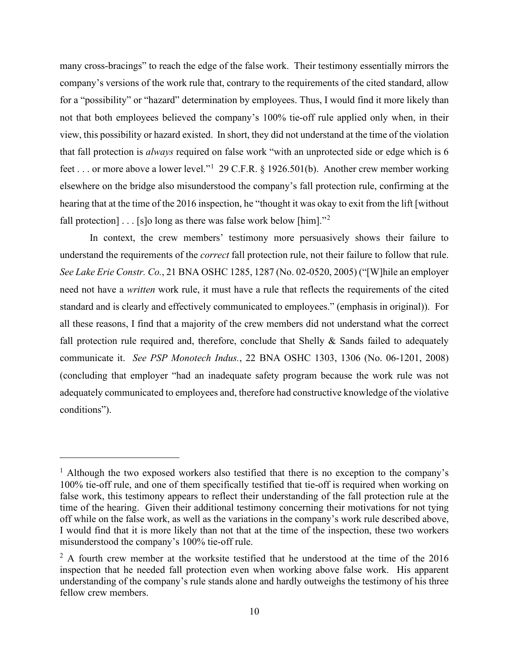many cross-bracings" to reach the edge of the false work. Their testimony essentially mirrors the company's versions of the work rule that, contrary to the requirements of the cited standard, allow for a "possibility" or "hazard" determination by employees. Thus, I would find it more likely than not that both employees believed the company's 100% tie-off rule applied only when, in their view, this possibility or hazard existed. In short, they did not understand at the time of the violation that fall protection is *always* required on false work "with an unprotected side or edge which is 6 feet . . . or more above a lower level."<sup>[1](#page-9-0)</sup> 29 C.F.R. § 1926.501(b). Another crew member working elsewhere on the bridge also misunderstood the company's fall protection rule, confirming at the hearing that at the time of the 2016 inspection, he "thought it was okay to exit from the lift [without fall protection]  $\ldots$  [s]o long as there was false work below [him]."<sup>[2](#page-9-1)</sup>

In context, the crew members' testimony more persuasively shows their failure to understand the requirements of the *correct* fall protection rule, not their failure to follow that rule. *See Lake Erie Constr. Co.*, 21 BNA OSHC 1285, 1287 (No. 02-0520, 2005) ("[W]hile an employer need not have a *written* work rule, it must have a rule that reflects the requirements of the cited standard and is clearly and effectively communicated to employees." (emphasis in original)). For all these reasons, I find that a majority of the crew members did not understand what the correct fall protection rule required and, therefore, conclude that Shelly  $\&$  Sands failed to adequately communicate it. *See PSP Monotech Indus.*, 22 BNA OSHC 1303, 1306 (No. 06-1201, 2008) (concluding that employer "had an inadequate safety program because the work rule was not adequately communicated to employees and, therefore had constructive knowledge of the violative conditions").

<span id="page-9-0"></span><sup>&</sup>lt;sup>1</sup> Although the two exposed workers also testified that there is no exception to the company's 100% tie-off rule, and one of them specifically testified that tie-off is required when working on false work, this testimony appears to reflect their understanding of the fall protection rule at the time of the hearing. Given their additional testimony concerning their motivations for not tying off while on the false work, as well as the variations in the company's work rule described above, I would find that it is more likely than not that at the time of the inspection, these two workers misunderstood the company's 100% tie-off rule.

<span id="page-9-1"></span> $2$  A fourth crew member at the worksite testified that he understood at the time of the 2016 inspection that he needed fall protection even when working above false work. His apparent understanding of the company's rule stands alone and hardly outweighs the testimony of his three fellow crew members.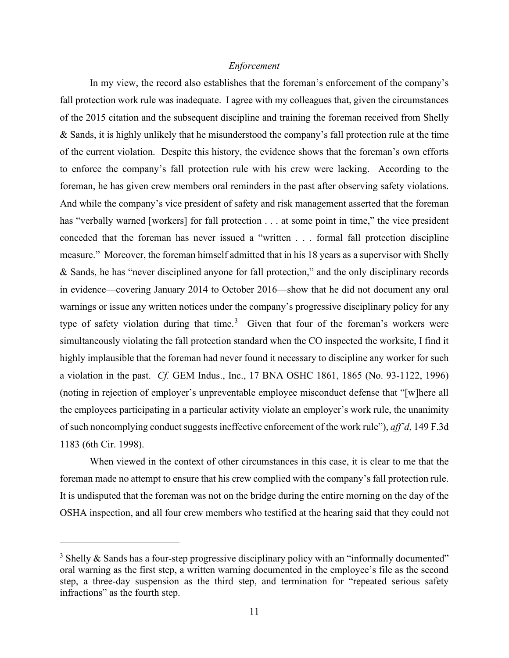## *Enforcement*

In my view, the record also establishes that the foreman's enforcement of the company's fall protection work rule was inadequate. I agree with my colleagues that, given the circumstances of the 2015 citation and the subsequent discipline and training the foreman received from Shelly & Sands, it is highly unlikely that he misunderstood the company's fall protection rule at the time of the current violation. Despite this history, the evidence shows that the foreman's own efforts to enforce the company's fall protection rule with his crew were lacking. According to the foreman, he has given crew members oral reminders in the past after observing safety violations. And while the company's vice president of safety and risk management asserted that the foreman has "verbally warned [workers] for fall protection . . . at some point in time," the vice president conceded that the foreman has never issued a "written . . . formal fall protection discipline measure." Moreover, the foreman himself admitted that in his 18 years as a supervisor with Shelly & Sands, he has "never disciplined anyone for fall protection," and the only disciplinary records in evidence—covering January 2014 to October 2016—show that he did not document any oral warnings or issue any written notices under the company's progressive disciplinary policy for any type of safety violation during that time.<sup>[3](#page-10-0)</sup> Given that four of the foreman's workers were simultaneously violating the fall protection standard when the CO inspected the worksite, I find it highly implausible that the foreman had never found it necessary to discipline any worker for such a violation in the past. *Cf.* GEM Indus., Inc., 17 BNA OSHC 1861, 1865 (No. 93-1122, 1996) (noting in rejection of employer's unpreventable employee misconduct defense that "[w]here all the employees participating in a particular activity violate an employer's work rule, the unanimity of such noncomplying conduct suggests ineffective enforcement of the work rule"), *aff'd*, 149 F.3d 1183 (6th Cir. 1998).

When viewed in the context of other circumstances in this case, it is clear to me that the foreman made no attempt to ensure that his crew complied with the company's fall protection rule. It is undisputed that the foreman was not on the bridge during the entire morning on the day of the OSHA inspection, and all four crew members who testified at the hearing said that they could not

<span id="page-10-0"></span> $3$  Shelly & Sands has a four-step progressive disciplinary policy with an "informally documented" oral warning as the first step, a written warning documented in the employee's file as the second step, a three-day suspension as the third step, and termination for "repeated serious safety infractions" as the fourth step.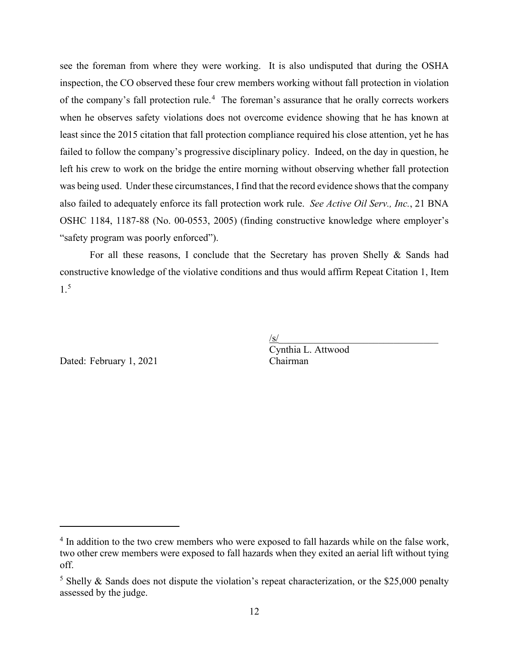see the foreman from where they were working. It is also undisputed that during the OSHA inspection, the CO observed these four crew members working without fall protection in violation of the company's fall protection rule.<sup>[4](#page-11-0)</sup> The foreman's assurance that he orally corrects workers when he observes safety violations does not overcome evidence showing that he has known at least since the 2015 citation that fall protection compliance required his close attention, yet he has failed to follow the company's progressive disciplinary policy. Indeed, on the day in question, he left his crew to work on the bridge the entire morning without observing whether fall protection was being used. Under these circumstances, I find that the record evidence shows that the company also failed to adequately enforce its fall protection work rule. *See Active Oil Serv., Inc.*, 21 BNA OSHC 1184, 1187-88 (No. 00-0553, 2005) (finding constructive knowledge where employer's "safety program was poorly enforced").

For all these reasons, I conclude that the Secretary has proven Shelly & Sands had constructive knowledge of the violative conditions and thus would affirm Repeat Citation 1, Item 1.[5](#page-11-1)

Dated: February 1, 2021 Chairman

 $\sqrt{s/2}$ Cynthia L. Attwood

<span id="page-11-0"></span><sup>&</sup>lt;sup>4</sup> In addition to the two crew members who were exposed to fall hazards while on the false work, two other crew members were exposed to fall hazards when they exited an aerial lift without tying off.

<span id="page-11-1"></span><sup>&</sup>lt;sup>5</sup> Shelly & Sands does not dispute the violation's repeat characterization, or the \$25,000 penalty assessed by the judge.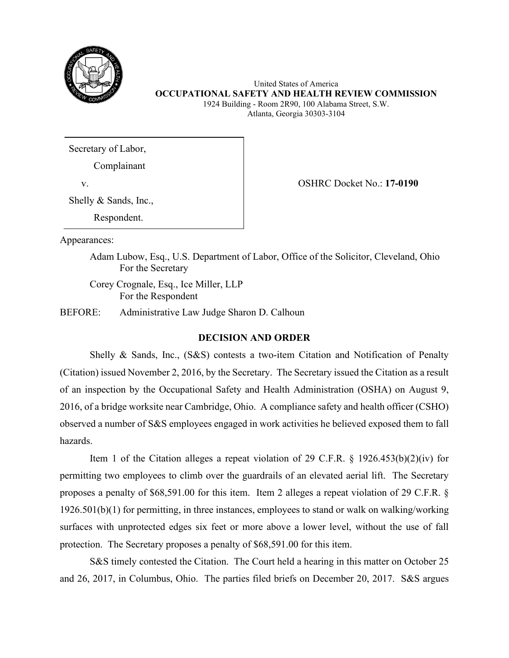

United States of America **OCCUPATIONAL SAFETY AND HEALTH REVIEW COMMISSION** 1924 Building - Room 2R90, 100 Alabama Street, S.W. Atlanta, Georgia 30303-3104

Secretary of Labor,

Complainant

Shelly & Sands, Inc.,

Respondent.

v. OSHRC Docket No.: **17-0190**

Appearances:

Adam Lubow, Esq., U.S. Department of Labor, Office of the Solicitor, Cleveland, Ohio For the Secretary

 Corey Crognale, Esq., Ice Miller, LLP For the Respondent

BEFORE: Administrative Law Judge Sharon D. Calhoun

# **DECISION AND ORDER**

Shelly & Sands, Inc., (S&S) contests a two-item Citation and Notification of Penalty (Citation) issued November 2, 2016, by the Secretary. The Secretary issued the Citation as a result of an inspection by the Occupational Safety and Health Administration (OSHA) on August 9, 2016, of a bridge worksite near Cambridge, Ohio. A compliance safety and health officer (CSHO) observed a number of S&S employees engaged in work activities he believed exposed them to fall hazards.

Item 1 of the Citation alleges a repeat violation of 29 C.F.R. § 1926.453(b)(2)(iv) for permitting two employees to climb over the guardrails of an elevated aerial lift. The Secretary proposes a penalty of \$68,591.00 for this item. Item 2 alleges a repeat violation of 29 C.F.R. § 1926.501(b)(1) for permitting, in three instances, employees to stand or walk on walking/working surfaces with unprotected edges six feet or more above a lower level, without the use of fall protection. The Secretary proposes a penalty of \$68,591.00 for this item.

S&S timely contested the Citation. The Court held a hearing in this matter on October 25 and 26, 2017, in Columbus, Ohio. The parties filed briefs on December 20, 2017. S&S argues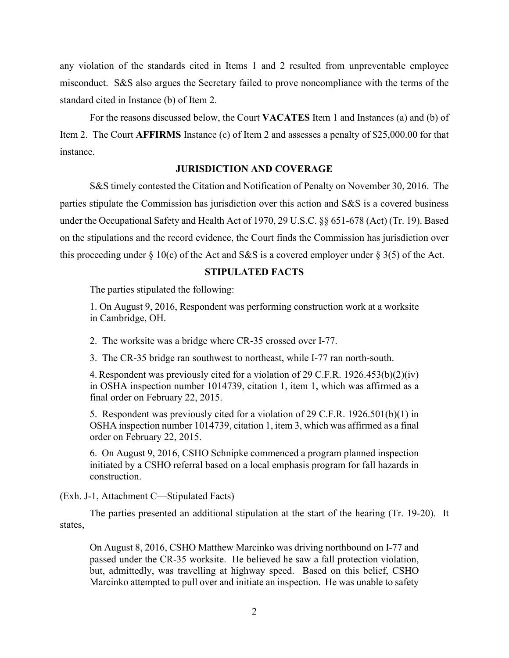any violation of the standards cited in Items 1 and 2 resulted from unpreventable employee misconduct. S&S also argues the Secretary failed to prove noncompliance with the terms of the standard cited in Instance (b) of Item 2.

For the reasons discussed below, the Court **VACATES** Item 1 and Instances (a) and (b) of Item 2. The Court **AFFIRMS** Instance (c) of Item 2 and assesses a penalty of \$25,000.00 for that instance.

## **JURISDICTION AND COVERAGE**

S&S timely contested the Citation and Notification of Penalty on November 30, 2016. The parties stipulate the Commission has jurisdiction over this action and S&S is a covered business under the Occupational Safety and Health Act of 1970, 29 U.S.C. §§ 651-678 (Act) (Tr. 19). Based on the stipulations and the record evidence, the Court finds the Commission has jurisdiction over this proceeding under  $\S$  10(c) of the Act and S&S is a covered employer under  $\S$  3(5) of the Act.

## **STIPULATED FACTS**

The parties stipulated the following:

1. On August 9, 2016, Respondent was performing construction work at a worksite in Cambridge, OH.

2. The worksite was a bridge where CR-35 crossed over I-77.

3. The CR-35 bridge ran southwest to northeast, while I-77 ran north-south.

4. Respondent was previously cited for a violation of 29 C.F.R. 1926.453(b)(2)(iv) in OSHA inspection number 1014739, citation 1, item 1, which was affirmed as a final order on February 22, 2015.

5. Respondent was previously cited for a violation of 29 C.F.R. 1926.501(b)(1) in OSHA inspection number 1014739, citation 1, item 3, which was affirmed as a final order on February 22, 2015.

6. On August 9, 2016, CSHO Schnipke commenced a program planned inspection initiated by a CSHO referral based on a local emphasis program for fall hazards in construction.

(Exh. J-1, Attachment C—Stipulated Facts)

The parties presented an additional stipulation at the start of the hearing (Tr. 19-20). It states,

On August 8, 2016, CSHO Matthew Marcinko was driving northbound on I-77 and passed under the CR-35 worksite. He believed he saw a fall protection violation, but, admittedly, was travelling at highway speed. Based on this belief, CSHO Marcinko attempted to pull over and initiate an inspection. He was unable to safety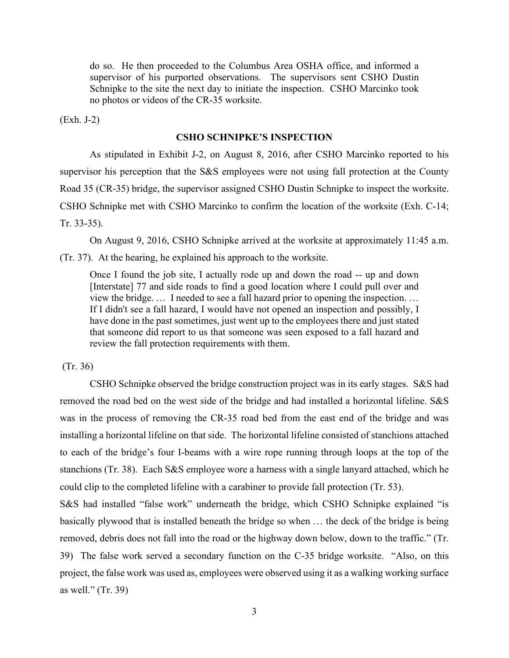do so. He then proceeded to the Columbus Area OSHA office, and informed a supervisor of his purported observations. The supervisors sent CSHO Dustin Schnipke to the site the next day to initiate the inspection. CSHO Marcinko took no photos or videos of the CR-35 worksite.

(Exh. J-2)

# **CSHO SCHNIPKE'S INSPECTION**

As stipulated in Exhibit J-2, on August 8, 2016, after CSHO Marcinko reported to his supervisor his perception that the S&S employees were not using fall protection at the County Road 35 (CR-35) bridge, the supervisor assigned CSHO Dustin Schnipke to inspect the worksite. CSHO Schnipke met with CSHO Marcinko to confirm the location of the worksite (Exh. C-14; Tr. 33-35).

On August 9, 2016, CSHO Schnipke arrived at the worksite at approximately 11:45 a.m. (Tr. 37). At the hearing, he explained his approach to the worksite.

Once I found the job site, I actually rode up and down the road -- up and down [Interstate] 77 and side roads to find a good location where I could pull over and view the bridge. … I needed to see a fall hazard prior to opening the inspection. … If I didn't see a fall hazard, I would have not opened an inspection and possibly, I have done in the past sometimes, just went up to the employees there and just stated that someone did report to us that someone was seen exposed to a fall hazard and review the fall protection requirements with them.

(Tr. 36)

CSHO Schnipke observed the bridge construction project was in its early stages. S&S had removed the road bed on the west side of the bridge and had installed a horizontal lifeline. S&S was in the process of removing the CR-35 road bed from the east end of the bridge and was installing a horizontal lifeline on that side. The horizontal lifeline consisted of stanchions attached to each of the bridge's four I-beams with a wire rope running through loops at the top of the stanchions (Tr. 38). Each S&S employee wore a harness with a single lanyard attached, which he could clip to the completed lifeline with a carabiner to provide fall protection (Tr. 53).

S&S had installed "false work" underneath the bridge, which CSHO Schnipke explained "is basically plywood that is installed beneath the bridge so when … the deck of the bridge is being removed, debris does not fall into the road or the highway down below, down to the traffic." (Tr. 39) The false work served a secondary function on the C-35 bridge worksite. "Also, on this project, the false work was used as, employees were observed using it as a walking working surface as well." (Tr. 39)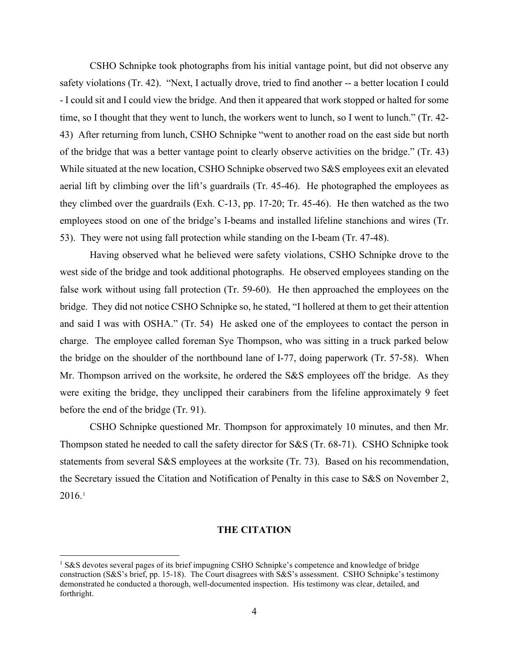CSHO Schnipke took photographs from his initial vantage point, but did not observe any safety violations (Tr. 42). "Next, I actually drove, tried to find another -- a better location I could - I could sit and I could view the bridge. And then it appeared that work stopped or halted for some time, so I thought that they went to lunch, the workers went to lunch, so I went to lunch." (Tr. 42- 43) After returning from lunch, CSHO Schnipke "went to another road on the east side but north of the bridge that was a better vantage point to clearly observe activities on the bridge." (Tr. 43) While situated at the new location, CSHO Schnipke observed two S&S employees exit an elevated aerial lift by climbing over the lift's guardrails (Tr. 45-46). He photographed the employees as they climbed over the guardrails (Exh. C-13, pp. 17-20; Tr. 45-46). He then watched as the two employees stood on one of the bridge's I-beams and installed lifeline stanchions and wires (Tr. 53). They were not using fall protection while standing on the I-beam (Tr. 47-48).

Having observed what he believed were safety violations, CSHO Schnipke drove to the west side of the bridge and took additional photographs. He observed employees standing on the false work without using fall protection (Tr. 59-60). He then approached the employees on the bridge. They did not notice CSHO Schnipke so, he stated, "I hollered at them to get their attention and said I was with OSHA." (Tr. 54) He asked one of the employees to contact the person in charge. The employee called foreman Sye Thompson, who was sitting in a truck parked below the bridge on the shoulder of the northbound lane of I-77, doing paperwork (Tr. 57-58). When Mr. Thompson arrived on the worksite, he ordered the S&S employees off the bridge. As they were exiting the bridge, they unclipped their carabiners from the lifeline approximately 9 feet before the end of the bridge (Tr. 91).

CSHO Schnipke questioned Mr. Thompson for approximately 10 minutes, and then Mr. Thompson stated he needed to call the safety director for S&S (Tr. 68-71). CSHO Schnipke took statements from several S&S employees at the worksite (Tr. 73). Based on his recommendation, the Secretary issued the Citation and Notification of Penalty in this case to S&S on November 2,  $2016.<sup>1</sup>$  $2016.<sup>1</sup>$  $2016.<sup>1</sup>$ 

### **THE CITATION**

<span id="page-15-0"></span><sup>&</sup>lt;sup>1</sup> S&S devotes several pages of its brief impugning CSHO Schnipke's competence and knowledge of bridge construction (S&S's brief, pp. 15-18). The Court disagrees with S&S's assessment. CSHO Schnipke's testimony demonstrated he conducted a thorough, well-documented inspection. His testimony was clear, detailed, and forthright.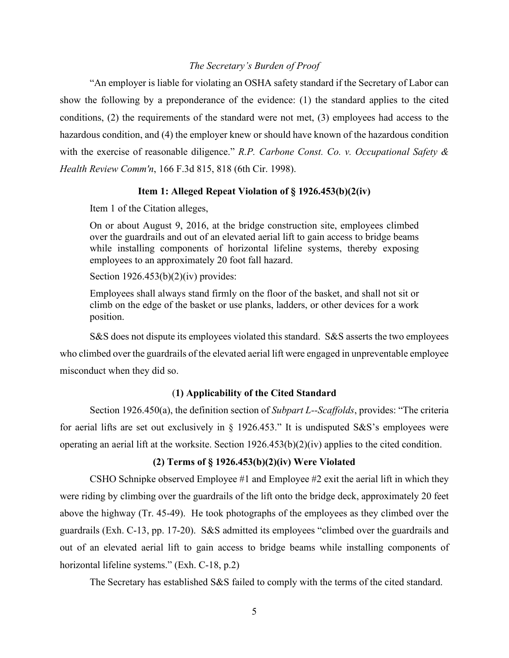## *The Secretary's Burden of Proof*

"An employer is liable for violating an OSHA safety standard if the Secretary of Labor can show the following by a preponderance of the evidence: (1) the standard applies to the cited conditions, (2) the requirements of the standard were not met, (3) employees had access to the hazardous condition, and (4) the employer knew or should have known of the hazardous condition with the exercise of reasonable diligence." *R.P. Carbone Const. Co. v. Occupational Safety & Health Review Comm'n*, 166 F.3d 815, 818 (6th Cir. 1998).

## **Item 1: Alleged Repeat Violation of § 1926.453(b)(2(iv)**

Item 1 of the Citation alleges,

On or about August 9, 2016, at the bridge construction site, employees climbed over the guardrails and out of an elevated aerial lift to gain access to bridge beams while installing components of horizontal lifeline systems, thereby exposing employees to an approximately 20 foot fall hazard.

Section  $1926.453(b)(2)(iv)$  provides:

Employees shall always stand firmly on the floor of the basket, and shall not sit or climb on the edge of the basket or use planks, ladders, or other devices for a work position.

S&S does not dispute its employees violated this standard. S&S asserts the two employees who climbed over the guardrails of the elevated aerial lift were engaged in unpreventable employee misconduct when they did so.

# (**1) Applicability of the Cited Standard**

Section 1926.450(a), the definition section of *Subpart L--Scaffolds*, provides: "The criteria for aerial lifts are set out exclusively in § 1926.453." It is undisputed S&S's employees were operating an aerial lift at the worksite. Section 1926.453(b)(2)(iv) applies to the cited condition.

# **(2) Terms of § 1926.453(b)(2)(iv) Were Violated**

CSHO Schnipke observed Employee #1 and Employee #2 exit the aerial lift in which they were riding by climbing over the guardrails of the lift onto the bridge deck, approximately 20 feet above the highway (Tr. 45-49). He took photographs of the employees as they climbed over the guardrails (Exh. C-13, pp. 17-20). S&S admitted its employees "climbed over the guardrails and out of an elevated aerial lift to gain access to bridge beams while installing components of horizontal lifeline systems." (Exh. C-18, p.2)

The Secretary has established S&S failed to comply with the terms of the cited standard.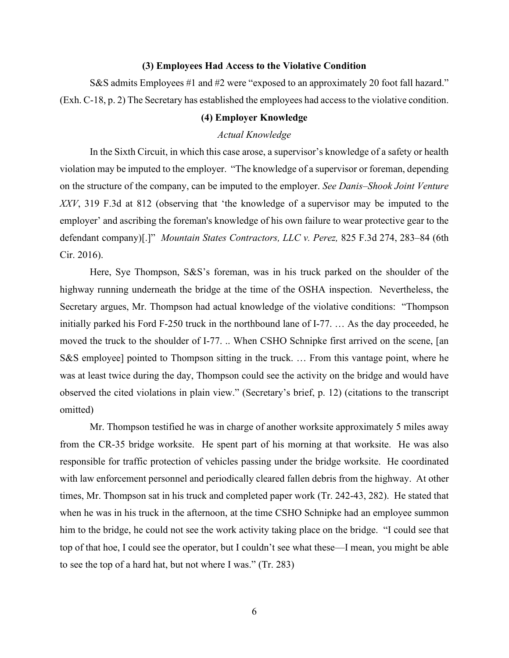### **(3) Employees Had Access to the Violative Condition**

S&S admits Employees #1 and #2 were "exposed to an approximately 20 foot fall hazard." (Exh. C-18, p. 2) The Secretary has established the employees had access to the violative condition.

## **(4) Employer Knowledge**

## *Actual Knowledge*

In the Sixth Circuit, in which this case arose, a supervisor's knowledge of a safety or health violation may be imputed to the employer. "The knowledge of a supervisor or foreman, depending on the structure of the company, can be imputed to the employer. *See Danis–Shook Joint Venture XXV*, 319 F.3d at 812 (observing that 'the knowledge of a supervisor may be imputed to the employer' and ascribing the foreman's knowledge of his own failure to wear protective gear to the defendant company)[.]" *Mountain States Contractors, LLC v. Perez,* 825 F.3d 274, 283–84 (6th Cir. 2016).

Here, Sye Thompson, S&S's foreman, was in his truck parked on the shoulder of the highway running underneath the bridge at the time of the OSHA inspection. Nevertheless, the Secretary argues, Mr. Thompson had actual knowledge of the violative conditions: "Thompson initially parked his Ford F-250 truck in the northbound lane of I-77. … As the day proceeded, he moved the truck to the shoulder of I-77. .. When CSHO Schnipke first arrived on the scene, [an S&S employee] pointed to Thompson sitting in the truck. … From this vantage point, where he was at least twice during the day, Thompson could see the activity on the bridge and would have observed the cited violations in plain view." (Secretary's brief, p. 12) (citations to the transcript omitted)

Mr. Thompson testified he was in charge of another worksite approximately 5 miles away from the CR-35 bridge worksite. He spent part of his morning at that worksite. He was also responsible for traffic protection of vehicles passing under the bridge worksite. He coordinated with law enforcement personnel and periodically cleared fallen debris from the highway. At other times, Mr. Thompson sat in his truck and completed paper work (Tr. 242-43, 282). He stated that when he was in his truck in the afternoon, at the time CSHO Schnipke had an employee summon him to the bridge, he could not see the work activity taking place on the bridge. "I could see that top of that hoe, I could see the operator, but I couldn't see what these—I mean, you might be able to see the top of a hard hat, but not where I was." (Tr. 283)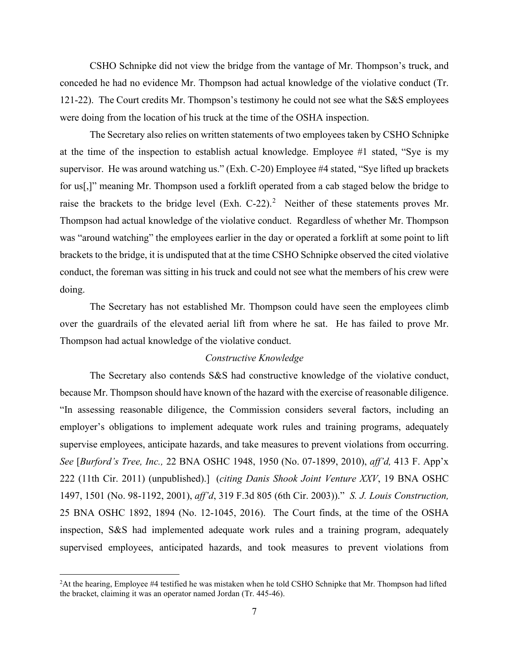CSHO Schnipke did not view the bridge from the vantage of Mr. Thompson's truck, and conceded he had no evidence Mr. Thompson had actual knowledge of the violative conduct (Tr. 121-22). The Court credits Mr. Thompson's testimony he could not see what the S&S employees were doing from the location of his truck at the time of the OSHA inspection.

The Secretary also relies on written statements of two employees taken by CSHO Schnipke at the time of the inspection to establish actual knowledge. Employee #1 stated, "Sye is my supervisor. He was around watching us." (Exh. C-20) Employee #4 stated, "Sye lifted up brackets for us[,]" meaning Mr. Thompson used a forklift operated from a cab staged below the bridge to raise the brackets to the bridge level  $(Exh. C-22).<sup>2</sup>$  $(Exh. C-22).<sup>2</sup>$  $(Exh. C-22).<sup>2</sup>$  Neither of these statements proves Mr. Thompson had actual knowledge of the violative conduct. Regardless of whether Mr. Thompson was "around watching" the employees earlier in the day or operated a forklift at some point to lift brackets to the bridge, it is undisputed that at the time CSHO Schnipke observed the cited violative conduct, the foreman was sitting in his truck and could not see what the members of his crew were doing.

The Secretary has not established Mr. Thompson could have seen the employees climb over the guardrails of the elevated aerial lift from where he sat. He has failed to prove Mr. Thompson had actual knowledge of the violative conduct.

## *Constructive Knowledge*

The Secretary also contends S&S had constructive knowledge of the violative conduct, because Mr. Thompson should have known of the hazard with the exercise of reasonable diligence. "In assessing reasonable diligence, the Commission considers several factors, including an employer's obligations to implement adequate work rules and training programs, adequately supervise employees, anticipate hazards, and take measures to prevent violations from occurring. *See* [*Burford's Tree, Inc.,* 22 BNA OSHC 1948, 1950 (No. 07-1899, 2010), *aff'd,* 413 F. App'x 222 (11th Cir. 2011) (unpublished).] (*citing Danis Shook Joint Venture XXV*, 19 BNA OSHC 1497, 1501 (No. 98-1192, 2001), *aff'd*, 319 F.3d 805 (6th Cir. 2003))." *S. J. Louis Construction,*  25 BNA OSHC 1892, 1894 (No. 12-1045, 2016). The Court finds, at the time of the OSHA inspection, S&S had implemented adequate work rules and a training program, adequately supervised employees, anticipated hazards, and took measures to prevent violations from

<span id="page-18-0"></span> $2$ At the hearing, Employee #4 testified he was mistaken when he told CSHO Schnipke that Mr. Thompson had lifted the bracket, claiming it was an operator named Jordan (Tr. 445-46).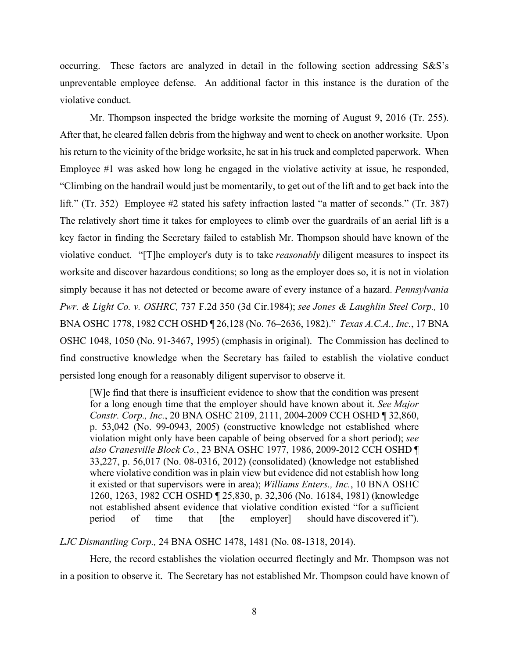occurring. These factors are analyzed in detail in the following section addressing S&S's unpreventable employee defense. An additional factor in this instance is the duration of the violative conduct.

Mr. Thompson inspected the bridge worksite the morning of August 9, 2016 (Tr. 255). After that, he cleared fallen debris from the highway and went to check on another worksite. Upon his return to the vicinity of the bridge worksite, he sat in his truck and completed paperwork. When Employee #1 was asked how long he engaged in the violative activity at issue, he responded, "Climbing on the handrail would just be momentarily, to get out of the lift and to get back into the lift." (Tr. 352) Employee #2 stated his safety infraction lasted "a matter of seconds." (Tr. 387) The relatively short time it takes for employees to climb over the guardrails of an aerial lift is a key factor in finding the Secretary failed to establish Mr. Thompson should have known of the violative conduct. "[T]he employer's duty is to take *reasonably* diligent measures to inspect its worksite and discover hazardous conditions; so long as the employer does so, it is not in violation simply because it has not detected or become aware of every instance of a hazard. *Pennsylvania Pwr. & Light Co. v. OSHRC,* 737 F.2d 350 (3d Cir.1984); *see Jones & Laughlin Steel Corp.,* 10 BNA OSHC 1778, 1982 CCH OSHD ¶ 26,128 (No. 76–2636, 1982)." *Texas A.C.A., Inc.*, 17 BNA OSHC 1048, 1050 (No. 91-3467, 1995) (emphasis in original). The Commission has declined to find constructive knowledge when the Secretary has failed to establish the violative conduct persisted long enough for a reasonably diligent supervisor to observe it.

[W]e find that there is insufficient evidence to show that the condition was present for a long enough time that the employer should have known about it. *See Major Constr. Corp., Inc.*, 20 BNA OSHC 2109, 2111, 2004-2009 CCH OSHD ¶ 32,860, p. 53,042 (No. 99-0943, 2005) (constructive knowledge not established where violation might only have been capable of being observed for a short period); *see also Cranesville Block Co.*, 23 BNA OSHC 1977, 1986, 2009-2012 CCH OSHD ¶ 33,227, p. 56,017 (No. 08-0316, 2012) (consolidated) (knowledge not established where violative condition was in plain view but evidence did not establish how long it existed or that supervisors were in area); *Williams Enters., Inc.*, 10 BNA OSHC 1260, 1263, 1982 CCH OSHD ¶ 25,830, p. 32,306 (No. 16184, 1981) (knowledge not established absent evidence that violative condition existed "for a sufficient period of time that  $[the \quad employer]$  should have discovered it").

*LJC Dismantling Corp.,* 24 BNA OSHC 1478, 1481 (No. 08-1318, 2014).

Here, the record establishes the violation occurred fleetingly and Mr. Thompson was not in a position to observe it. The Secretary has not established Mr. Thompson could have known of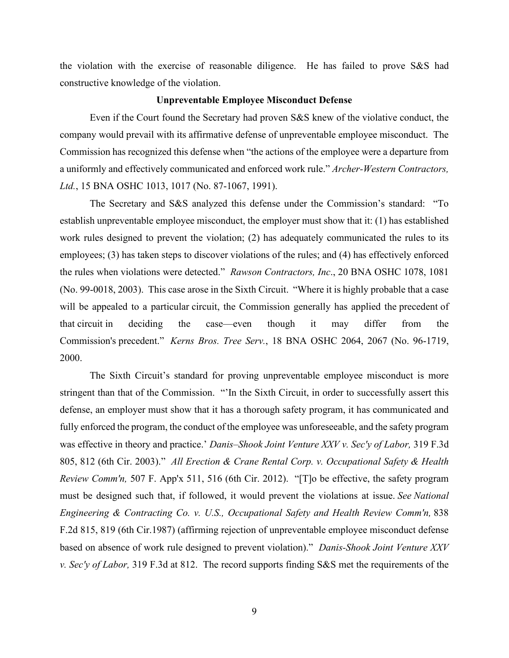the violation with the exercise of reasonable diligence. He has failed to prove S&S had constructive knowledge of the violation.

#### **Unpreventable Employee Misconduct Defense**

Even if the Court found the Secretary had proven S&S knew of the violative conduct, the company would prevail with its affirmative defense of unpreventable employee misconduct. The Commission has recognized this defense when "the actions of the employee were a departure from a uniformly and effectively communicated and enforced work rule." *Archer-Western Contractors, Ltd.*, 15 BNA OSHC 1013, 1017 (No. 87-1067, 1991).

The Secretary and S&S analyzed this defense under the Commission's standard: "To establish unpreventable employee misconduct, the employer must show that it: (1) has established work rules designed to prevent the violation; (2) has adequately communicated the rules to its employees; (3) has taken steps to discover violations of the rules; and (4) has effectively enforced the rules when violations were detected." *Rawson Contractors, Inc*., 20 BNA OSHC 1078, 1081 (No. 99-0018, 2003). This case arose in the Sixth Circuit. "Where it is highly probable that a case will be appealed to a particular circuit, the Commission generally has applied the precedent of that circuit in deciding the case—even though it may differ from the Commission's precedent." *Kerns Bros. Tree Serv.*[, 18 BNA OSHC 2064, 2067 \(No. 96-1719,](https://1.next.westlaw.com/Link/Document/FullText?findType=Y&serNum=2000367515&pubNum=0003227&originatingDoc=I48cea579f1e011e7bfb89a463a4b3bc7&refType=CA&fi=co_pp_sp_3227_2067&originationContext=document&transitionType=DocumentItem&contextData=(sc.Search)#co_pp_sp_3227_2067) 2000.

The Sixth Circuit's standard for proving unpreventable employee misconduct is more stringent than that of the Commission. "'In the Sixth Circuit, in order to successfully assert this defense, an employer must show that it has a thorough safety program, it has communicated and fully enforced the program, the conduct of the employee was unforeseeable, and the safety program was effective in theory and practice.' *Danis–Shook Joint Venture XXV v. Sec'y of Labor,* 319 F.3d 805, 812 (6th Cir. 2003)." *All Erection & Crane Rental Corp. v. Occupational Safety & Health Review Comm'n,* 507 F. App'x 511, 516 (6th Cir. 2012). "[T]o be effective, the safety program must be designed such that, if followed, it would prevent the violations at issue. *See National Engineering & Contracting Co. v. U.S., Occupational Safety and Health Review Comm'n,* 838 F.2d 815, 819 (6th Cir.1987) (affirming rejection of unpreventable employee misconduct defense based on absence of work rule designed to prevent violation)." *Danis-Shook Joint Venture XXV v. Sec'y of Labor,* 319 F.3d at 812. The record supports finding S&S met the requirements of the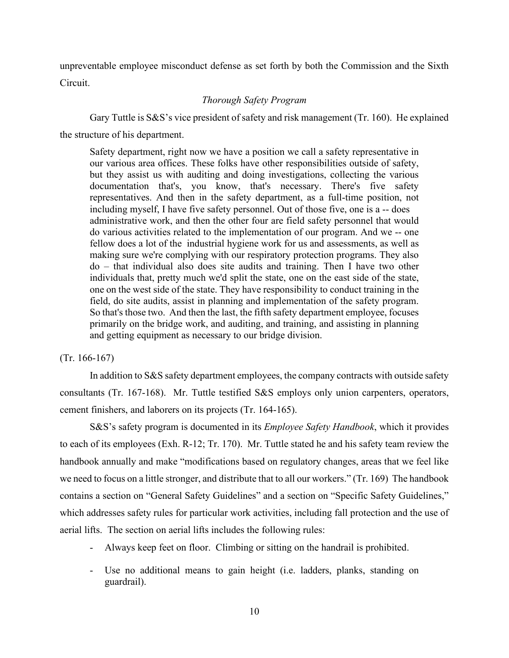unpreventable employee misconduct defense as set forth by both the Commission and the Sixth Circuit.

# *Thorough Safety Program*

Gary Tuttle is S&S's vice president of safety and risk management (Tr. 160). He explained the structure of his department.

Safety department, right now we have a position we call a safety representative in our various area offices. These folks have other responsibilities outside of safety, but they assist us with auditing and doing investigations, collecting the various documentation that's, you know, that's necessary. There's five safety representatives. And then in the safety department, as a full-time position, not including myself, I have five safety personnel. Out of those five, one is a -- does administrative work, and then the other four are field safety personnel that would do various activities related to the implementation of our program. And we -- one fellow does a lot of the industrial hygiene work for us and assessments, as well as making sure we're complying with our respiratory protection programs. They also do – that individual also does site audits and training. Then I have two other individuals that, pretty much we'd split the state, one on the east side of the state, one on the west side of the state. They have responsibility to conduct training in the field, do site audits, assist in planning and implementation of the safety program. So that's those two. And then the last, the fifth safety department employee, focuses primarily on the bridge work, and auditing, and training, and assisting in planning and getting equipment as necessary to our bridge division.

## (Tr. 166-167)

In addition to S&S safety department employees, the company contracts with outside safety consultants (Tr. 167-168). Mr. Tuttle testified S&S employs only union carpenters, operators, cement finishers, and laborers on its projects (Tr. 164-165).

S&S's safety program is documented in its *Employee Safety Handbook*, which it provides to each of its employees (Exh. R-12; Tr. 170). Mr. Tuttle stated he and his safety team review the handbook annually and make "modifications based on regulatory changes, areas that we feel like we need to focus on a little stronger, and distribute that to all our workers." (Tr. 169) The handbook contains a section on "General Safety Guidelines" and a section on "Specific Safety Guidelines," which addresses safety rules for particular work activities, including fall protection and the use of aerial lifts. The section on aerial lifts includes the following rules:

- Always keep feet on floor. Climbing or sitting on the handrail is prohibited.
- Use no additional means to gain height (i.e. ladders, planks, standing on guardrail).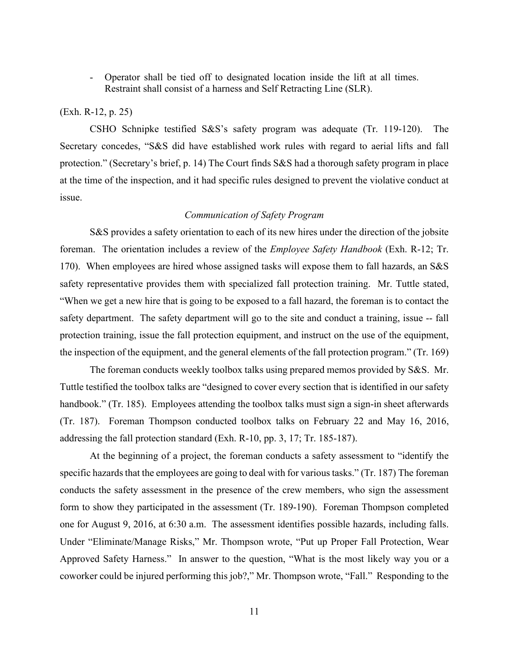- Operator shall be tied off to designated location inside the lift at all times. Restraint shall consist of a harness and Self Retracting Line (SLR).

### (Exh. R-12, p. 25)

CSHO Schnipke testified S&S's safety program was adequate (Tr. 119-120). The Secretary concedes, "S&S did have established work rules with regard to aerial lifts and fall protection." (Secretary's brief, p. 14) The Court finds S&S had a thorough safety program in place at the time of the inspection, and it had specific rules designed to prevent the violative conduct at issue.

## *Communication of Safety Program*

S&S provides a safety orientation to each of its new hires under the direction of the jobsite foreman. The orientation includes a review of the *Employee Safety Handbook* (Exh. R-12; Tr. 170). When employees are hired whose assigned tasks will expose them to fall hazards, an S&S safety representative provides them with specialized fall protection training. Mr. Tuttle stated, "When we get a new hire that is going to be exposed to a fall hazard, the foreman is to contact the safety department. The safety department will go to the site and conduct a training, issue -- fall protection training, issue the fall protection equipment, and instruct on the use of the equipment, the inspection of the equipment, and the general elements of the fall protection program." (Tr. 169)

The foreman conducts weekly toolbox talks using prepared memos provided by S&S. Mr. Tuttle testified the toolbox talks are "designed to cover every section that is identified in our safety handbook." (Tr. 185). Employees attending the toolbox talks must sign a sign-in sheet afterwards (Tr. 187). Foreman Thompson conducted toolbox talks on February 22 and May 16, 2016, addressing the fall protection standard (Exh. R-10, pp. 3, 17; Tr. 185-187).

At the beginning of a project, the foreman conducts a safety assessment to "identify the specific hazards that the employees are going to deal with for various tasks." (Tr. 187) The foreman conducts the safety assessment in the presence of the crew members, who sign the assessment form to show they participated in the assessment (Tr. 189-190). Foreman Thompson completed one for August 9, 2016, at 6:30 a.m. The assessment identifies possible hazards, including falls. Under "Eliminate/Manage Risks," Mr. Thompson wrote, "Put up Proper Fall Protection, Wear Approved Safety Harness." In answer to the question, "What is the most likely way you or a coworker could be injured performing this job?," Mr. Thompson wrote, "Fall." Responding to the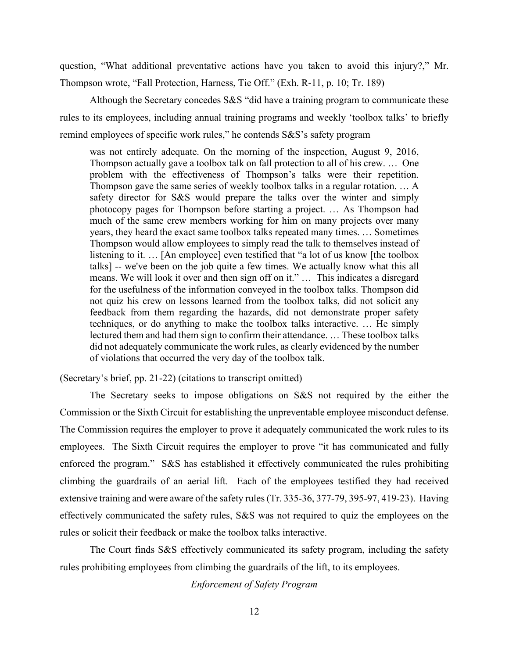question, "What additional preventative actions have you taken to avoid this injury?," Mr. Thompson wrote, "Fall Protection, Harness, Tie Off." (Exh. R-11, p. 10; Tr. 189)

Although the Secretary concedes S&S "did have a training program to communicate these rules to its employees, including annual training programs and weekly 'toolbox talks' to briefly remind employees of specific work rules," he contends S&S's safety program

was not entirely adequate. On the morning of the inspection, August 9, 2016, Thompson actually gave a toolbox talk on fall protection to all of his crew. … One problem with the effectiveness of Thompson's talks were their repetition. Thompson gave the same series of weekly toolbox talks in a regular rotation. … A safety director for S&S would prepare the talks over the winter and simply photocopy pages for Thompson before starting a project. … As Thompson had much of the same crew members working for him on many projects over many years, they heard the exact same toolbox talks repeated many times. … Sometimes Thompson would allow employees to simply read the talk to themselves instead of listening to it. … [An employee] even testified that "a lot of us know [the toolbox talks] -- we've been on the job quite a few times. We actually know what this all means. We will look it over and then sign off on it." … This indicates a disregard for the usefulness of the information conveyed in the toolbox talks. Thompson did not quiz his crew on lessons learned from the toolbox talks, did not solicit any feedback from them regarding the hazards, did not demonstrate proper safety techniques, or do anything to make the toolbox talks interactive. … He simply lectured them and had them sign to confirm their attendance. … These toolbox talks did not adequately communicate the work rules, as clearly evidenced by the number of violations that occurred the very day of the toolbox talk.

(Secretary's brief, pp. 21-22) (citations to transcript omitted)

The Secretary seeks to impose obligations on S&S not required by the either the Commission or the Sixth Circuit for establishing the unpreventable employee misconduct defense. The Commission requires the employer to prove it adequately communicated the work rules to its employees. The Sixth Circuit requires the employer to prove "it has communicated and fully enforced the program." S&S has established it effectively communicated the rules prohibiting climbing the guardrails of an aerial lift. Each of the employees testified they had received extensive training and were aware of the safety rules (Tr. 335-36, 377-79, 395-97, 419-23). Having effectively communicated the safety rules, S&S was not required to quiz the employees on the rules or solicit their feedback or make the toolbox talks interactive.

The Court finds S&S effectively communicated its safety program, including the safety rules prohibiting employees from climbing the guardrails of the lift, to its employees.

*Enforcement of Safety Program*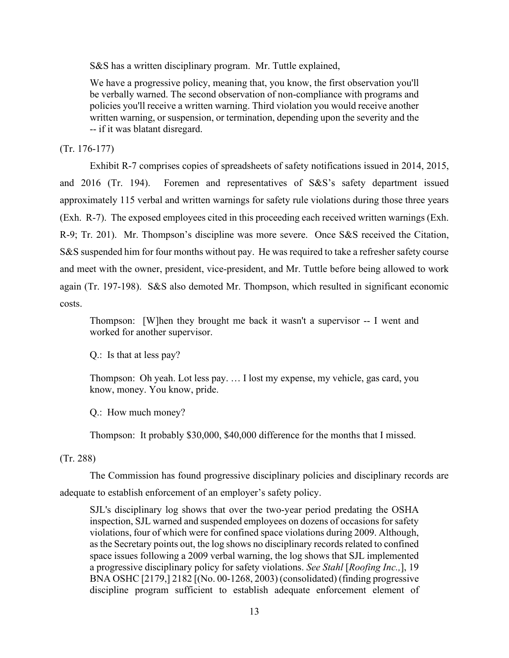S&S has a written disciplinary program. Mr. Tuttle explained,

We have a progressive policy, meaning that, you know, the first observation you'll be verbally warned. The second observation of non-compliance with programs and policies you'll receive a written warning. Third violation you would receive another written warning, or suspension, or termination, depending upon the severity and the -- if it was blatant disregard.

(Tr. 176-177)

 Exhibit R-7 comprises copies of spreadsheets of safety notifications issued in 2014, 2015, and 2016 (Tr. 194). Foremen and representatives of S&S's safety department issued approximately 115 verbal and written warnings for safety rule violations during those three years (Exh. R-7). The exposed employees cited in this proceeding each received written warnings (Exh. R-9; Tr. 201). Mr. Thompson's discipline was more severe. Once S&S received the Citation, S&S suspended him for four months without pay. He was required to take a refresher safety course and meet with the owner, president, vice-president, and Mr. Tuttle before being allowed to work again (Tr. 197-198). S&S also demoted Mr. Thompson, which resulted in significant economic costs.

Thompson: [W]hen they brought me back it wasn't a supervisor -- I went and worked for another supervisor.

Q.: Is that at less pay?

Thompson: Oh yeah. Lot less pay. … I lost my expense, my vehicle, gas card, you know, money. You know, pride.

Q.: How much money?

Thompson: It probably \$30,000, \$40,000 difference for the months that I missed.

## (Tr. 288)

The Commission has found progressive disciplinary policies and disciplinary records are adequate to establish enforcement of an employer's safety policy.

SJL's disciplinary log shows that over the two-year period predating the OSHA inspection, SJL warned and suspended employees on dozens of occasions for safety violations, four of which were for confined space violations during 2009. Although, as the Secretary points out, the log shows no disciplinary records related to confined space issues following a 2009 verbal warning, the log shows that SJL implemented a progressive disciplinary policy for safety violations. *See Stahl* [*Roofing Inc.,*], 19 BNA OSHC [2179,] 2182 [(No. 00-1268, 2003) (consolidated) (finding progressive discipline program sufficient to establish adequate enforcement element of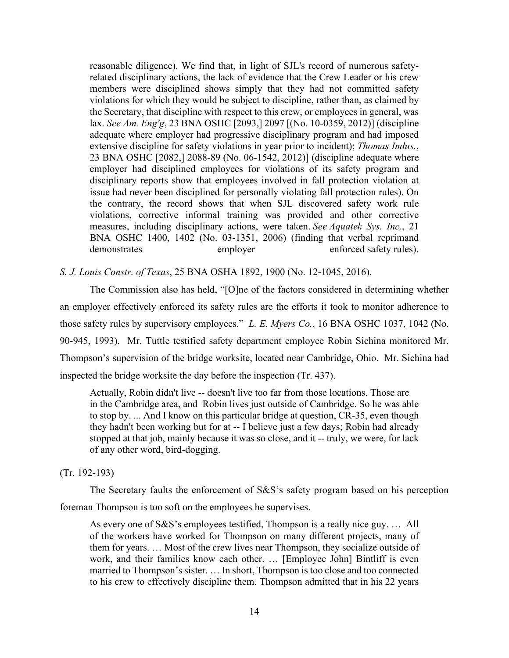reasonable diligence). We find that, in light of SJL's record of numerous safetyrelated disciplinary actions, the lack of evidence that the Crew Leader or his crew members were disciplined shows simply that they had not committed safety violations for which they would be subject to discipline, rather than, as claimed by the Secretary, that discipline with respect to this crew, or employees in general, was lax. *See Am. Eng'g*, 23 BNA OSHC [2093,] 2097 [(No. 10-0359, 2012)] (discipline adequate where employer had progressive disciplinary program and had imposed extensive discipline for safety violations in year prior to incident); *Thomas Indus.*, 23 BNA OSHC [2082,] 2088-89 (No. 06-1542, 2012)] (discipline adequate where employer had disciplined employees for violations of its safety program and disciplinary reports show that employees involved in fall protection violation at issue had never been disciplined for personally violating fall protection rules). On the contrary, the record shows that when SJL discovered safety work rule violations, corrective informal training was provided and other corrective measures, including disciplinary actions, were taken. *See Aquatek Sys. Inc.*, 21 BNA OSHC 1400, 1402 (No. 03-1351, 2006) (finding that verbal reprimand demonstrates employer enforced safety rules).

*S. J. Louis Constr. of Texas*, 25 BNA OSHA 1892, 1900 (No. 12-1045, 2016).

The Commission also has held, "[O]ne of the factors considered in determining whether an employer effectively enforced its safety rules are the efforts it took to monitor adherence to those safety rules by supervisory employees." *L. E. Myers Co.,* 16 BNA OSHC 1037, 1042 (No. 90-945, 1993). Mr. Tuttle testified safety department employee Robin Sichina monitored Mr. Thompson's supervision of the bridge worksite, located near Cambridge, Ohio. Mr. Sichina had inspected the bridge worksite the day before the inspection (Tr. 437).

Actually, Robin didn't live -- doesn't live too far from those locations. Those are in the Cambridge area, and Robin lives just outside of Cambridge. So he was able to stop by. ... And I know on this particular bridge at question, CR-35, even though they hadn't been working but for at -- I believe just a few days; Robin had already stopped at that job, mainly because it was so close, and it -- truly, we were, for lack of any other word, bird-dogging.

#### (Tr. 192-193)

The Secretary faults the enforcement of S&S's safety program based on his perception foreman Thompson is too soft on the employees he supervises.

As every one of S&S's employees testified, Thompson is a really nice guy. … All of the workers have worked for Thompson on many different projects, many of them for years. … Most of the crew lives near Thompson, they socialize outside of work, and their families know each other. … [Employee John] Bintliff is even married to Thompson's sister. … In short, Thompson is too close and too connected to his crew to effectively discipline them. Thompson admitted that in his 22 years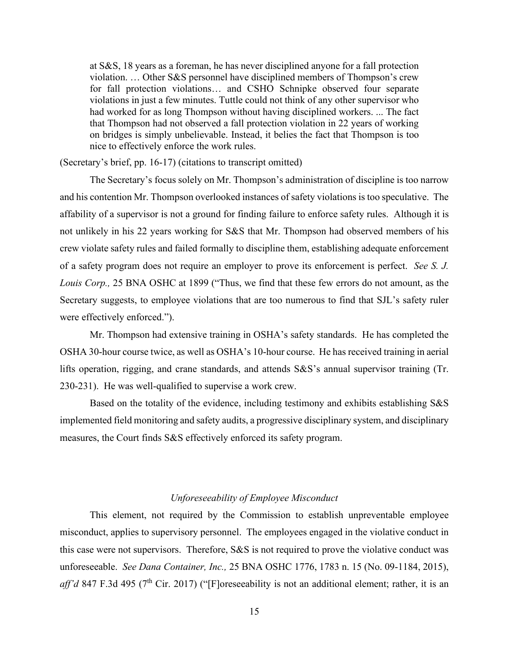at S&S, 18 years as a foreman, he has never disciplined anyone for a fall protection violation. … Other S&S personnel have disciplined members of Thompson's crew for fall protection violations… and CSHO Schnipke observed four separate violations in just a few minutes. Tuttle could not think of any other supervisor who had worked for as long Thompson without having disciplined workers. ... The fact that Thompson had not observed a fall protection violation in 22 years of working on bridges is simply unbelievable. Instead, it belies the fact that Thompson is too nice to effectively enforce the work rules.

(Secretary's brief, pp. 16-17) (citations to transcript omitted)

The Secretary's focus solely on Mr. Thompson's administration of discipline is too narrow and his contention Mr. Thompson overlooked instances of safety violations is too speculative. The affability of a supervisor is not a ground for finding failure to enforce safety rules. Although it is not unlikely in his 22 years working for S&S that Mr. Thompson had observed members of his crew violate safety rules and failed formally to discipline them, establishing adequate enforcement of a safety program does not require an employer to prove its enforcement is perfect. *See S. J. Louis Corp.,* 25 BNA OSHC at 1899 ("Thus, we find that these few errors do not amount, as the Secretary suggests, to employee violations that are too numerous to find that SJL's safety ruler were effectively enforced.").

Mr. Thompson had extensive training in OSHA's safety standards. He has completed the OSHA 30-hour course twice, as well as OSHA's 10-hour course. He has received training in aerial lifts operation, rigging, and crane standards, and attends S&S's annual supervisor training (Tr. 230-231). He was well-qualified to supervise a work crew.

Based on the totality of the evidence, including testimony and exhibits establishing S&S implemented field monitoring and safety audits, a progressive disciplinary system, and disciplinary measures, the Court finds S&S effectively enforced its safety program.

## *Unforeseeability of Employee Misconduct*

This element, not required by the Commission to establish unpreventable employee misconduct, applies to supervisory personnel. The employees engaged in the violative conduct in this case were not supervisors. Therefore, S&S is not required to prove the violative conduct was unforeseeable. *See Dana Container, Inc.,* 25 BNA OSHC 1776, 1783 n. 15 (No. 09-1184, 2015), *aff'd* 847 F.3d 495 (7<sup>th</sup> Cir. 2017) ("[F]oreseeability is not an additional element; rather, it is an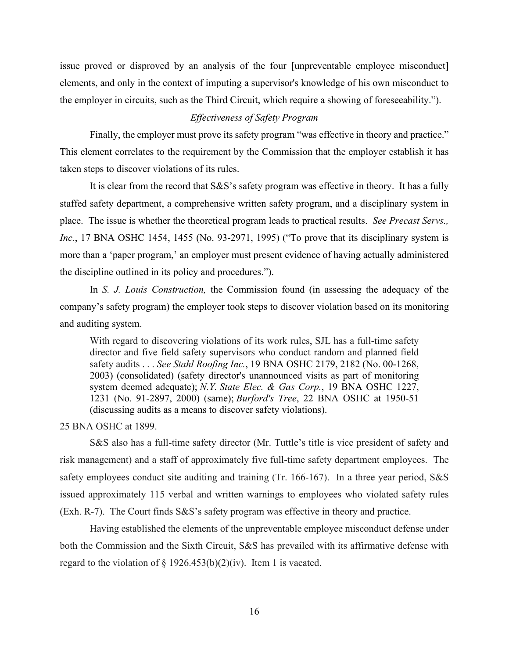issue proved or disproved by an analysis of the four [unpreventable employee misconduct] elements, and only in the context of imputing a supervisor's knowledge of his own misconduct to the employer in circuits, such as the Third Circuit, which require a showing of foreseeability.").

# *Effectiveness of Safety Program*

Finally, the employer must prove its safety program "was effective in theory and practice." This element correlates to the requirement by the Commission that the employer establish it has taken steps to discover violations of its rules.

It is clear from the record that S&S's safety program was effective in theory. It has a fully staffed safety department, a comprehensive written safety program, and a disciplinary system in place. The issue is whether the theoretical program leads to practical results. *See Precast Servs., Inc.*, 17 BNA OSHC 1454, 1455 (No. 93-2971, 1995) ("To prove that its disciplinary system is more than a 'paper program,' an employer must present evidence of having actually administered the discipline outlined in its policy and procedures.").

In *S. J. Louis Construction,* the Commission found (in assessing the adequacy of the company's safety program) the employer took steps to discover violation based on its monitoring and auditing system.

With regard to discovering violations of its work rules, SJL has a full-time safety director and five field safety supervisors who conduct random and planned field safety audits . . . *See Stahl Roofing Inc.*, 19 BNA OSHC 2179, 2182 (No. 00-1268, 2003) (consolidated) (safety director's unannounced visits as part of monitoring system deemed adequate); *N.Y. State Elec. & Gas Corp.*, 19 BNA OSHC 1227, 1231 (No. 91-2897, 2000) (same); *Burford's Tree*, 22 BNA OSHC at 1950-51 (discussing audits as a means to discover safety violations).

## 25 BNA OSHC at 1899.

S&S also has a full-time safety director (Mr. Tuttle's title is vice president of safety and risk management) and a staff of approximately five full-time safety department employees. The safety employees conduct site auditing and training (Tr. 166-167). In a three year period, S&S issued approximately 115 verbal and written warnings to employees who violated safety rules (Exh. R-7). The Court finds S&S's safety program was effective in theory and practice.

Having established the elements of the unpreventable employee misconduct defense under both the Commission and the Sixth Circuit, S&S has prevailed with its affirmative defense with regard to the violation of  $\S$  1926.453(b)(2)(iv). Item 1 is vacated.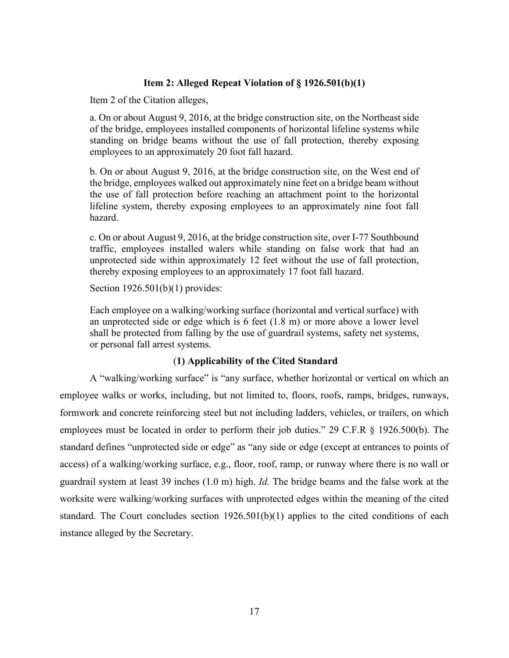# **Item 2: Alleged Repeat Violation of § 1926.501(b)(1)**

Item 2 of the Citation alleges,

a. On or about August 9, 2016, at the bridge construction site, on the Northeast side of the bridge, employees installed components of horizontal lifeline systems while standing on bridge beams without the use of fall protection, thereby exposing employees to an approximately 20 foot fall hazard.

b. On or about August 9, 2016, at the bridge construction site, on the West end of the bridge, employees walked out approximately nine feet on a bridge beam without the use of fall protection before reaching an attachment point to the horizontal lifeline system, thereby exposing employees to an approximately nine foot fall hazard.

c. On or about August 9, 2016, at the bridge construction site, over I-77 Southbound traffic, employees installed walers while standing on false work that had an unprotected side within approximately 12 feet without the use of fall protection, thereby exposing employees to an approximately 17 foot fall hazard.

Section 1926.501(b)(1) provides:

Each employee on a walking/working surface (horizontal and vertical surface) with an unprotected side or edge which is 6 feet (1.8 m) or more above a lower level shall be protected from falling by the use of guardrail systems, safety net systems, or personal fall arrest systems.

# (**1) Applicability of the Cited Standard**

A "walking/working surface" is "any surface, whether horizontal or vertical on which an employee walks or works, including, but not limited to, floors, roofs, ramps, bridges, runways, formwork and concrete reinforcing steel but not including ladders, vehicles, or trailers, on which employees must be located in order to perform their job duties." 29 C.F.R § 1926.500(b). The standard defines "unprotected side or edge" as "any side or edge (except at entrances to points of access) of a walking/working surface, e.g., floor, roof, ramp, or runway where there is no wall or guardrail system at least 39 inches (1.0 m) high. *Id.* The bridge beams and the false work at the worksite were walking/working surfaces with unprotected edges within the meaning of the cited standard. The Court concludes section 1926.501(b)(1) applies to the cited conditions of each instance alleged by the Secretary.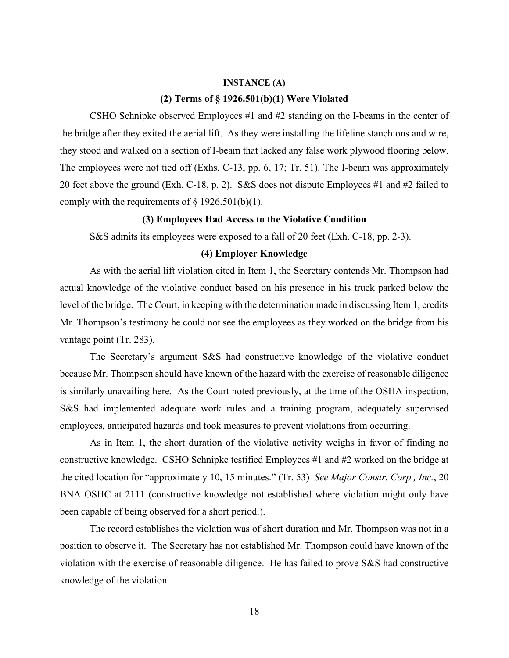### **INSTANCE (A)**

## **(2) Terms of § 1926.501(b)(1) Were Violated**

CSHO Schnipke observed Employees #1 and #2 standing on the I-beams in the center of the bridge after they exited the aerial lift. As they were installing the lifeline stanchions and wire, they stood and walked on a section of I-beam that lacked any false work plywood flooring below. The employees were not tied off (Exhs. C-13, pp. 6, 17; Tr. 51). The I-beam was approximately 20 feet above the ground (Exh. C-18, p. 2). S&S does not dispute Employees #1 and #2 failed to comply with the requirements of  $\S$  1926.501(b)(1).

# **(3) Employees Had Access to the Violative Condition**

S&S admits its employees were exposed to a fall of 20 feet (Exh. C-18, pp. 2-3).

### **(4) Employer Knowledge**

As with the aerial lift violation cited in Item 1, the Secretary contends Mr. Thompson had actual knowledge of the violative conduct based on his presence in his truck parked below the level of the bridge. The Court, in keeping with the determination made in discussing Item 1, credits Mr. Thompson's testimony he could not see the employees as they worked on the bridge from his vantage point (Tr. 283).

The Secretary's argument S&S had constructive knowledge of the violative conduct because Mr. Thompson should have known of the hazard with the exercise of reasonable diligence is similarly unavailing here. As the Court noted previously, at the time of the OSHA inspection, S&S had implemented adequate work rules and a training program, adequately supervised employees, anticipated hazards and took measures to prevent violations from occurring.

As in Item 1, the short duration of the violative activity weighs in favor of finding no constructive knowledge. CSHO Schnipke testified Employees #1 and #2 worked on the bridge at the cited location for "approximately 10, 15 minutes." (Tr. 53) *See Major Constr. Corp., Inc.*, 20 BNA OSHC at 2111 (constructive knowledge not established where violation might only have been capable of being observed for a short period.).

 The record establishes the violation was of short duration and Mr. Thompson was not in a position to observe it. The Secretary has not established Mr. Thompson could have known of the violation with the exercise of reasonable diligence. He has failed to prove S&S had constructive knowledge of the violation.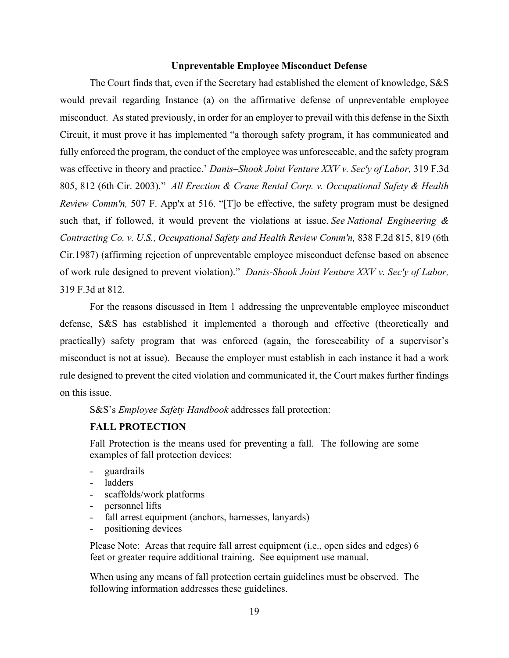## **Unpreventable Employee Misconduct Defense**

The Court finds that, even if the Secretary had established the element of knowledge, S&S would prevail regarding Instance (a) on the affirmative defense of unpreventable employee misconduct. As stated previously, in order for an employer to prevail with this defense in the Sixth Circuit, it must prove it has implemented "a thorough safety program, it has communicated and fully enforced the program, the conduct of the employee was unforeseeable, and the safety program was effective in theory and practice.' *Danis–Shook Joint Venture XXV v. Sec'y of Labor,* 319 F.3d 805, 812 (6th Cir. 2003)." *All Erection & Crane Rental Corp. v. Occupational Safety & Health Review Comm'n,* 507 F. App'x at 516. "[T]o be effective, the safety program must be designed such that, if followed, it would prevent the violations at issue. *See National Engineering & Contracting Co. v. U.S., Occupational Safety and Health Review Comm'n,* 838 F.2d 815, 819 (6th Cir.1987) (affirming rejection of unpreventable employee misconduct defense based on absence of work rule designed to prevent violation)." *Danis-Shook Joint Venture XXV v. Sec'y of Labor,* 319 F.3d at 812.

For the reasons discussed in Item 1 addressing the unpreventable employee misconduct defense, S&S has established it implemented a thorough and effective (theoretically and practically) safety program that was enforced (again, the foreseeability of a supervisor's misconduct is not at issue). Because the employer must establish in each instance it had a work rule designed to prevent the cited violation and communicated it, the Court makes further findings on this issue.

S&S's *Employee Safety Handbook* addresses fall protection:

# **FALL PROTECTION**

Fall Protection is the means used for preventing a fall. The following are some examples of fall protection devices:

- guardrails
- ladders
- scaffolds/work platforms
- personnel lifts
- fall arrest equipment (anchors, harnesses, lanyards)
- positioning devices

Please Note: Areas that require fall arrest equipment (i.e., open sides and edges) 6 feet or greater require additional training. See equipment use manual.

When using any means of fall protection certain guidelines must be observed. The following information addresses these guidelines.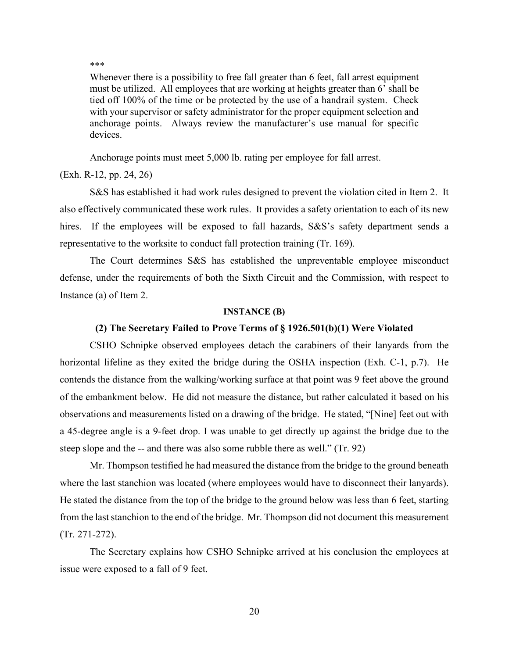#### \*\*\*

Whenever there is a possibility to free fall greater than 6 feet, fall arrest equipment must be utilized. All employees that are working at heights greater than 6' shall be tied off 100% of the time or be protected by the use of a handrail system. Check with your supervisor or safety administrator for the proper equipment selection and anchorage points. Always review the manufacturer's use manual for specific devices.

Anchorage points must meet 5,000 lb. rating per employee for fall arrest.

## (Exh. R-12, pp. 24, 26)

 S&S has established it had work rules designed to prevent the violation cited in Item 2. It also effectively communicated these work rules. It provides a safety orientation to each of its new hires. If the employees will be exposed to fall hazards, S&S's safety department sends a representative to the worksite to conduct fall protection training (Tr. 169).

The Court determines S&S has established the unpreventable employee misconduct defense, under the requirements of both the Sixth Circuit and the Commission, with respect to Instance (a) of Item 2.

#### **INSTANCE (B)**

## **(2) The Secretary Failed to Prove Terms of § 1926.501(b)(1) Were Violated**

CSHO Schnipke observed employees detach the carabiners of their lanyards from the horizontal lifeline as they exited the bridge during the OSHA inspection (Exh. C-1, p.7). He contends the distance from the walking/working surface at that point was 9 feet above the ground of the embankment below. He did not measure the distance, but rather calculated it based on his observations and measurements listed on a drawing of the bridge. He stated, "[Nine] feet out with a 45-degree angle is a 9-feet drop. I was unable to get directly up against the bridge due to the steep slope and the -- and there was also some rubble there as well." (Tr. 92)

Mr. Thompson testified he had measured the distance from the bridge to the ground beneath where the last stanchion was located (where employees would have to disconnect their lanyards). He stated the distance from the top of the bridge to the ground below was less than 6 feet, starting from the last stanchion to the end of the bridge. Mr. Thompson did not document this measurement (Tr. 271-272).

The Secretary explains how CSHO Schnipke arrived at his conclusion the employees at issue were exposed to a fall of 9 feet.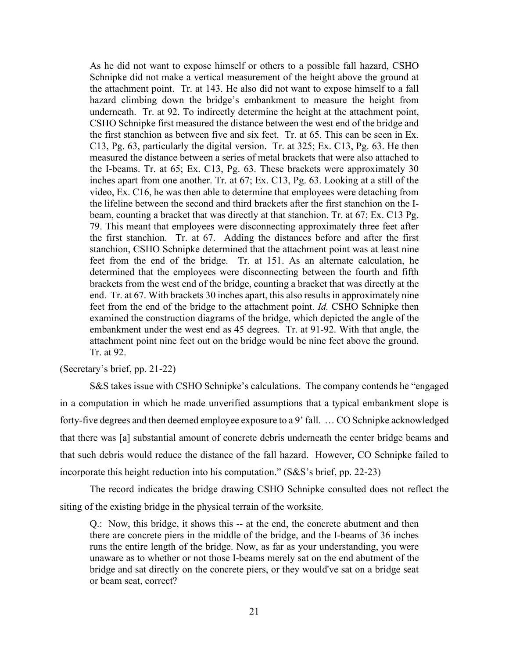As he did not want to expose himself or others to a possible fall hazard, CSHO Schnipke did not make a vertical measurement of the height above the ground at the attachment point. Tr. at 143. He also did not want to expose himself to a fall hazard climbing down the bridge's embankment to measure the height from underneath. Tr. at 92. To indirectly determine the height at the attachment point, CSHO Schnipke first measured the distance between the west end of the bridge and the first stanchion as between five and six feet. Tr. at 65. This can be seen in Ex. C13, Pg. 63, particularly the digital version. Tr. at 325; Ex. C13, Pg. 63. He then measured the distance between a series of metal brackets that were also attached to the I-beams. Tr. at 65; Ex. C13, Pg. 63. These brackets were approximately 30 inches apart from one another. Tr. at 67; Ex. C13, Pg. 63. Looking at a still of the video, Ex. C16, he was then able to determine that employees were detaching from the lifeline between the second and third brackets after the first stanchion on the Ibeam, counting a bracket that was directly at that stanchion. Tr. at 67; Ex. C13 Pg. 79. This meant that employees were disconnecting approximately three feet after the first stanchion. Tr. at 67. Adding the distances before and after the first stanchion, CSHO Schnipke determined that the attachment point was at least nine feet from the end of the bridge. Tr. at 151. As an alternate calculation, he determined that the employees were disconnecting between the fourth and fifth brackets from the west end of the bridge, counting a bracket that was directly at the end. Tr. at 67. With brackets 30 inches apart, this also results in approximately nine feet from the end of the bridge to the attachment point. *Id.* CSHO Schnipke then examined the construction diagrams of the bridge, which depicted the angle of the embankment under the west end as 45 degrees. Tr. at 91-92. With that angle, the attachment point nine feet out on the bridge would be nine feet above the ground. Tr. at 92.

(Secretary's brief, pp. 21-22)

S&S takes issue with CSHO Schnipke's calculations. The company contends he "engaged in a computation in which he made unverified assumptions that a typical embankment slope is forty-five degrees and then deemed employee exposure to a 9' fall. … CO Schnipke acknowledged that there was [a] substantial amount of concrete debris underneath the center bridge beams and that such debris would reduce the distance of the fall hazard. However, CO Schnipke failed to incorporate this height reduction into his computation." (S&S's brief, pp. 22-23)

The record indicates the bridge drawing CSHO Schnipke consulted does not reflect the siting of the existing bridge in the physical terrain of the worksite.

Q.: Now, this bridge, it shows this -- at the end, the concrete abutment and then there are concrete piers in the middle of the bridge, and the I-beams of 36 inches runs the entire length of the bridge. Now, as far as your understanding, you were unaware as to whether or not those I-beams merely sat on the end abutment of the bridge and sat directly on the concrete piers, or they would've sat on a bridge seat or beam seat, correct?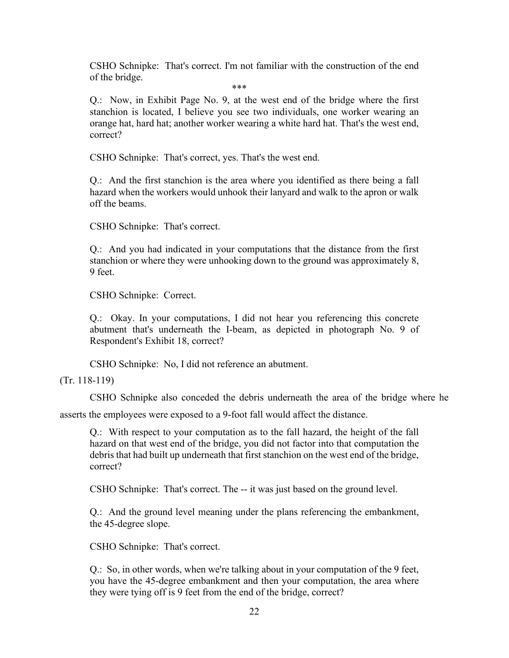CSHO Schnipke: That's correct. I'm not familiar with the construction of the end of the bridge.

\*\*\*

Q.: Now, in Exhibit Page No. 9, at the west end of the bridge where the first stanchion is located, I believe you see two individuals, one worker wearing an orange hat, hard hat; another worker wearing a white hard hat. That's the west end, correct?

CSHO Schnipke: That's correct, yes. That's the west end.

Q.: And the first stanchion is the area where you identified as there being a fall hazard when the workers would unhook their lanyard and walk to the apron or walk off the beams.

CSHO Schnipke: That's correct.

Q.: And you had indicated in your computations that the distance from the first stanchion or where they were unhooking down to the ground was approximately 8, 9 feet.

CSHO Schnipke: Correct.

Q.: Okay. In your computations, I did not hear you referencing this concrete abutment that's underneath the I-beam, as depicted in photograph No. 9 of Respondent's Exhibit 18, correct?

CSHO Schnipke: No, I did not reference an abutment.

(Tr. 118-119)

CSHO Schnipke also conceded the debris underneath the area of the bridge where he

asserts the employees were exposed to a 9-foot fall would affect the distance.

Q.: With respect to your computation as to the fall hazard, the height of the fall hazard on that west end of the bridge, you did not factor into that computation the debris that had built up underneath that first stanchion on the west end of the bridge, correct?

CSHO Schnipke: That's correct. The -- it was just based on the ground level.

Q.: And the ground level meaning under the plans referencing the embankment, the 45-degree slope.

CSHO Schnipke: That's correct.

Q.: So, in other words, when we're talking about in your computation of the 9 feet, you have the 45-degree embankment and then your computation, the area where they were tying off is 9 feet from the end of the bridge, correct?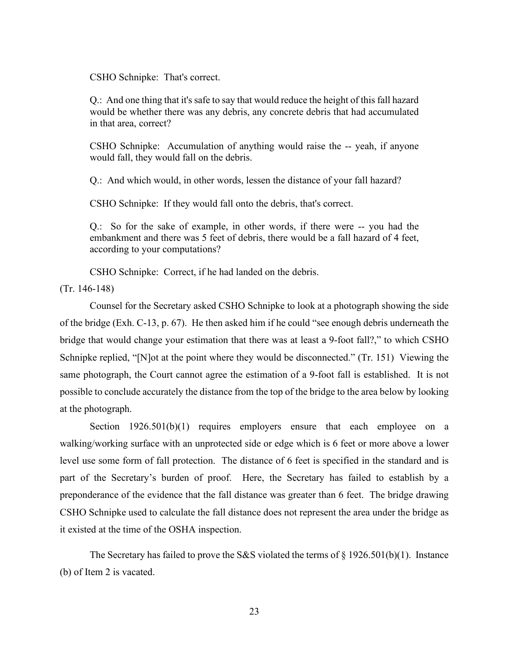CSHO Schnipke: That's correct.

Q.: And one thing that it's safe to say that would reduce the height of this fall hazard would be whether there was any debris, any concrete debris that had accumulated in that area, correct?

CSHO Schnipke: Accumulation of anything would raise the -- yeah, if anyone would fall, they would fall on the debris.

Q.: And which would, in other words, lessen the distance of your fall hazard?

CSHO Schnipke: If they would fall onto the debris, that's correct.

Q.: So for the sake of example, in other words, if there were -- you had the embankment and there was 5 feet of debris, there would be a fall hazard of 4 feet, according to your computations?

CSHO Schnipke: Correct, if he had landed on the debris.

(Tr. 146-148)

Counsel for the Secretary asked CSHO Schnipke to look at a photograph showing the side of the bridge (Exh. C-13, p. 67). He then asked him if he could "see enough debris underneath the bridge that would change your estimation that there was at least a 9-foot fall?," to which CSHO Schnipke replied, "[N]ot at the point where they would be disconnected." (Tr. 151) Viewing the same photograph, the Court cannot agree the estimation of a 9-foot fall is established. It is not possible to conclude accurately the distance from the top of the bridge to the area below by looking at the photograph.

Section 1926.501(b)(1) requires employers ensure that each employee on a walking/working surface with an unprotected side or edge which is 6 feet or more above a lower level use some form of fall protection. The distance of 6 feet is specified in the standard and is part of the Secretary's burden of proof. Here, the Secretary has failed to establish by a preponderance of the evidence that the fall distance was greater than 6 feet. The bridge drawing CSHO Schnipke used to calculate the fall distance does not represent the area under the bridge as it existed at the time of the OSHA inspection.

The Secretary has failed to prove the S&S violated the terms of  $\S 1926.501(b)(1)$ . Instance (b) of Item 2 is vacated.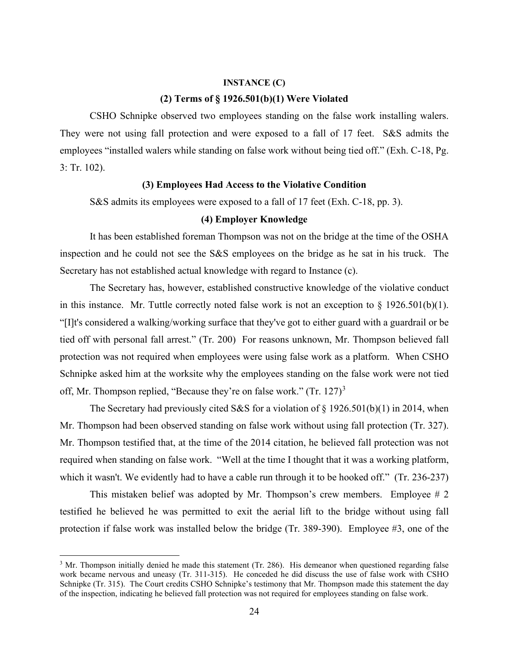#### **INSTANCE (C)**

## **(2) Terms of § 1926.501(b)(1) Were Violated**

CSHO Schnipke observed two employees standing on the false work installing walers. They were not using fall protection and were exposed to a fall of 17 feet. S&S admits the employees "installed walers while standing on false work without being tied off." (Exh. C-18, Pg. 3: Tr. 102).

## **(3) Employees Had Access to the Violative Condition**

S&S admits its employees were exposed to a fall of 17 feet (Exh. C-18, pp. 3).

## **(4) Employer Knowledge**

It has been established foreman Thompson was not on the bridge at the time of the OSHA inspection and he could not see the S&S employees on the bridge as he sat in his truck. The Secretary has not established actual knowledge with regard to Instance (c).

The Secretary has, however, established constructive knowledge of the violative conduct in this instance. Mr. Tuttle correctly noted false work is not an exception to  $\S$  1926.501(b)(1). "[I]t's considered a walking/working surface that they've got to either guard with a guardrail or be tied off with personal fall arrest." (Tr. 200) For reasons unknown, Mr. Thompson believed fall protection was not required when employees were using false work as a platform. When CSHO Schnipke asked him at the worksite why the employees standing on the false work were not tied off, Mr. Thompson replied, "Because they're on false work." (Tr. 127) $3$ 

The Secretary had previously cited S&S for a violation of § 1926.501(b)(1) in 2014, when Mr. Thompson had been observed standing on false work without using fall protection (Tr. 327). Mr. Thompson testified that, at the time of the 2014 citation, he believed fall protection was not required when standing on false work. "Well at the time I thought that it was a working platform, which it wasn't. We evidently had to have a cable run through it to be hooked off." (Tr. 236-237)

This mistaken belief was adopted by Mr. Thompson's crew members. Employee # 2 testified he believed he was permitted to exit the aerial lift to the bridge without using fall protection if false work was installed below the bridge (Tr. 389-390). Employee #3, one of the

<span id="page-35-0"></span><sup>&</sup>lt;sup>3</sup> Mr. Thompson initially denied he made this statement (Tr. 286). His demeanor when questioned regarding false work became nervous and uneasy (Tr. 311-315). He conceded he did discuss the use of false work with CSHO Schnipke (Tr. 315). The Court credits CSHO Schnipke's testimony that Mr. Thompson made this statement the day of the inspection, indicating he believed fall protection was not required for employees standing on false work.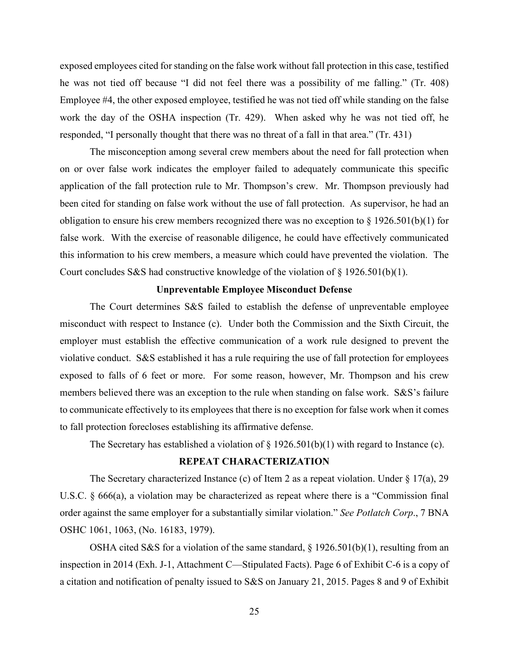exposed employees cited for standing on the false work without fall protection in this case, testified he was not tied off because "I did not feel there was a possibility of me falling." (Tr. 408) Employee #4, the other exposed employee, testified he was not tied off while standing on the false work the day of the OSHA inspection (Tr. 429). When asked why he was not tied off, he responded, "I personally thought that there was no threat of a fall in that area." (Tr. 431)

The misconception among several crew members about the need for fall protection when on or over false work indicates the employer failed to adequately communicate this specific application of the fall protection rule to Mr. Thompson's crew. Mr. Thompson previously had been cited for standing on false work without the use of fall protection. As supervisor, he had an obligation to ensure his crew members recognized there was no exception to § 1926.501(b)(1) for false work. With the exercise of reasonable diligence, he could have effectively communicated this information to his crew members, a measure which could have prevented the violation. The Court concludes S&S had constructive knowledge of the violation of § 1926.501(b)(1).

## **Unpreventable Employee Misconduct Defense**

The Court determines S&S failed to establish the defense of unpreventable employee misconduct with respect to Instance (c). Under both the Commission and the Sixth Circuit, the employer must establish the effective communication of a work rule designed to prevent the violative conduct. S&S established it has a rule requiring the use of fall protection for employees exposed to falls of 6 feet or more. For some reason, however, Mr. Thompson and his crew members believed there was an exception to the rule when standing on false work. S&S's failure to communicate effectively to its employees that there is no exception for false work when it comes to fall protection forecloses establishing its affirmative defense.

The Secretary has established a violation of  $\S 1926.501(b)(1)$  with regard to Instance (c).

# **REPEAT CHARACTERIZATION**

The Secretary characterized Instance (c) of Item 2 as a repeat violation. Under § 17(a), 29 U.S.C. § 666(a), a violation may be characterized as repeat where there is a "Commission final order against the same employer for a substantially similar violation." *See Potlatch Corp*., 7 BNA OSHC 1061, 1063, (No. 16183, 1979).

OSHA cited S&S for a violation of the same standard,  $\S 1926.501(b)(1)$ , resulting from an inspection in 2014 (Exh. J-1, Attachment C—Stipulated Facts). Page 6 of Exhibit C-6 is a copy of a citation and notification of penalty issued to S&S on January 21, 2015. Pages 8 and 9 of Exhibit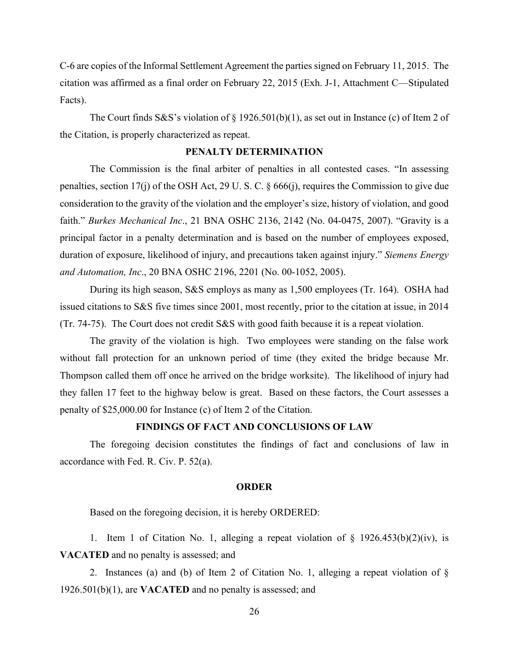C-6 are copies of the Informal Settlement Agreement the parties signed on February 11, 2015. The citation was affirmed as a final order on February 22, 2015 (Exh. J-1, Attachment C—Stipulated Facts).

The Court finds S&S's violation of  $\S 1926.501(b)(1)$ , as set out in Instance (c) of Item 2 of the Citation, is properly characterized as repeat.

## **PENALTY DETERMINATION**

The Commission is the final arbiter of penalties in all contested cases. "In assessing penalties, section 17(j) of the OSH Act, 29 U. S. C. § 666(j), requires the Commission to give due consideration to the gravity of the violation and the employer's size, history of violation, and good faith." *Burkes Mechanical Inc*., 21 BNA OSHC 2136, 2142 (No. 04-0475, 2007). "Gravity is a principal factor in a penalty determination and is based on the number of employees exposed, duration of exposure, likelihood of injury, and precautions taken against injury." *Siemens Energy and Automation, Inc*., 20 BNA OSHC 2196, 2201 (No. 00-1052, 2005).

 During its high season, S&S employs as many as 1,500 employees (Tr. 164). OSHA had issued citations to S&S five times since 2001, most recently, prior to the citation at issue, in 2014 (Tr. 74-75). The Court does not credit S&S with good faith because it is a repeat violation.

The gravity of the violation is high. Two employees were standing on the false work without fall protection for an unknown period of time (they exited the bridge because Mr. Thompson called them off once he arrived on the bridge worksite). The likelihood of injury had they fallen 17 feet to the highway below is great. Based on these factors, the Court assesses a penalty of \$25,000.00 for Instance (c) of Item 2 of the Citation.

## **FINDINGS OF FACT AND CONCLUSIONS OF LAW**

The foregoing decision constitutes the findings of fact and conclusions of law in accordance with Fed. R. Civ. P. 52(a).

#### **ORDER**

Based on the foregoing decision, it is hereby ORDERED:

1. Item 1 of Citation No. 1, alleging a repeat violation of  $\S$  1926.453(b)(2)(iv), is **VACATED** and no penalty is assessed; and

2. Instances (a) and (b) of Item 2 of Citation No. 1, alleging a repeat violation of § 1926.501(b)(1), are **VACATED** and no penalty is assessed; and